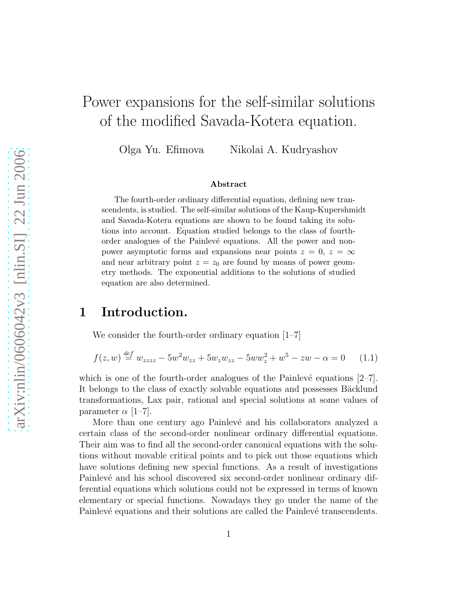# Power expansions for the self-similar solutions of the modified Savada-Kotera equation.

Olga Yu. Efimova Nikolai A. Kudryashov

#### <span id="page-0-0"></span>Abstract

The fourth-order ordinary differential equation, defining new transcendents, is studied. The self-similar solutions of the Kaup-Kupershmidt and Savada-Kotera equations are shown to be found taking its solutions into account. Equation studied belongs to the class of fourthorder analogues of the Painlevé equations. All the power and nonpower asymptotic forms and expansions near points  $z = 0$ ,  $z = \infty$ and near arbitrary point  $z = z_0$  are found by means of power geometry methods. The exponential additions to the solutions of studied equation are also determined.

### 1 Introduction.

We consider the fourth-order ordinary equation [1–7]

$$
f(z, w) \stackrel{def}{=} w_{zzzz} - 5w^2 w_{zz} + 5w_z w_{zz} - 5ww_z^2 + w^5 - zw - \alpha = 0 \quad (1.1)
$$

which is one of the fourth-order analogues of the Painlevé equations  $[2-7]$ . It belongs to the class of exactly solvable equations and possesses Bäcklund transformations, Lax pair, rational and special solutions at some values of parameter  $\alpha$  [1–7].

More than one century ago Painlevé and his collaborators analyzed a certain class of the second-order nonlinear ordinary differential equations. Their aim was to find all the second-order canonical equations with the solutions without movable critical points and to pick out those equations which have solutions defining new special functions. As a result of investigations Painlevé and his school discovered six second-order nonlinear ordinary differential equations which solutions could not be expressed in terms of known elementary or special functions. Nowadays they go under the name of the Painlevé equations and their solutions are called the Painlevé transcendents.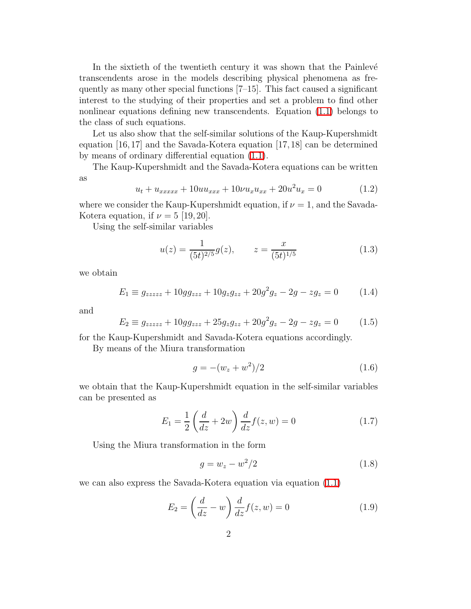In the sixtieth of the twentieth century it was shown that the Painlevé transcendents arose in the models describing physical phenomena as frequently as many other special functions [7–15]. This fact caused a significant interest to the studying of their properties and set a problem to find other nonlinear equations defining new transcendents. Equation [\(1.1\)](#page-0-0) belongs to the class of such equations.

Let us also show that the self-similar solutions of the Kaup-Kupershmidt equation [16,17] and the Savada-Kotera equation [17,18] can be determined by means of ordinary differential equation [\(1.1\)](#page-0-0).

The Kaup-Kupershmidt and the Savada-Kotera equations can be written as

$$
u_t + u_{xxxxx} + 10uu_{xxx} + 10\nu u_x u_{xx} + 20u^2 u_x = 0 \tag{1.2}
$$

where we consider the Kaup-Kupershmidt equation, if  $\nu = 1$ , and the Savada-Kotera equation, if  $\nu = 5$  [19, 20].

Using the self-similar variables

$$
u(z) = \frac{1}{(5t)^{2/5}}g(z), \qquad z = \frac{x}{(5t)^{1/5}}\tag{1.3}
$$

we obtain

$$
E_1 \equiv g_{zzzzz} + 10g g_{zzz} + 10g_z g_{zz} + 20g^2 g_z - 2g - zg_z = 0 \tag{1.4}
$$

and

$$
E_2 \equiv g_{zzzzz} + 10g g_{zzz} + 25g_z g_{zz} + 20g^2 g_z - 2g - zg_z = 0 \tag{1.5}
$$

for the Kaup-Kupershmidt and Savada-Kotera equations accordingly.

By means of the Miura transformation

$$
g = -(w_z + w^2)/2 \tag{1.6}
$$

we obtain that the Kaup-Kupershmidt equation in the self-similar variables can be presented as

$$
E_1 = \frac{1}{2} \left( \frac{d}{dz} + 2w \right) \frac{d}{dz} f(z, w) = 0 \tag{1.7}
$$

Using the Miura transformation in the form

$$
g = w_z - w^2/2
$$
 (1.8)

we can also express the Savada-Kotera equation via equation [\(1.1\)](#page-0-0)

$$
E_2 = \left(\frac{d}{dz} - w\right) \frac{d}{dz} f(z, w) = 0 \tag{1.9}
$$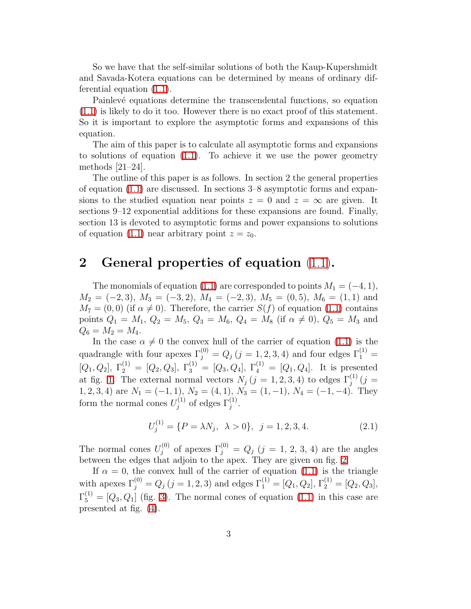So we have that the self-similar solutions of both the Kaup-Kupershmidt and Savada-Kotera equations can be determined by means of ordinary differential equation [\(1.1\)](#page-0-0).

Painlevé equations determine the transcendental functions, so equation [\(1.1\)](#page-0-0) is likely to do it too. However there is no exact proof of this statement. So it is important to explore the asymptotic forms and expansions of this equation.

The aim of this paper is to calculate all asymptotic forms and expansions to solutions of equation [\(1.1\)](#page-0-0). To achieve it we use the power geometry methods [21–24].

The outline of this paper is as follows. In section 2 the general properties of equation  $(1.1)$  are discussed. In sections  $3-8$  asymptotic forms and expansions to the studied equation near points  $z = 0$  and  $z = \infty$  are given. It sections 9–12 exponential additions for these expansions are found. Finally, section 13 is devoted to asymptotic forms and power expansions to solutions of equation [\(1.1\)](#page-0-0) near arbitrary point  $z = z_0$ .

## 2 General properties of equation [\(1.1\)](#page-0-0).

The monomials of equation [\(1.1\)](#page-0-0) are corresponded to points  $M_1 = (-4, 1)$ ,  $M_2 = (-2, 3), M_3 = (-3, 2), M_4 = (-2, 3), M_5 = (0, 5), M_6 = (1, 1)$  and  $M_7 = (0, 0)$  (if  $\alpha \neq 0$ ). Therefore, the carrier  $S(f)$  of equation [\(1.1\)](#page-0-0) contains points  $Q_1 = M_1$ ,  $Q_2 = M_5$ ,  $Q_3 = M_6$ ,  $Q_4 = M_8$  (if  $\alpha \neq 0$ ),  $Q_5 = M_3$  and  $Q_6 = M_2 = M_4.$ 

In the case  $\alpha \neq 0$  the convex hull of the carrier of equation [\(1.1\)](#page-0-0) is the quadrangle with four apexes  $\Gamma_j^{(0)} = Q_j$   $(j = 1, 2, 3, 4)$  and four edges  $\Gamma_1^{(1)} =$  $[Q_1, Q_2], \Gamma_2^{(1)} = [Q_2, Q_3], \Gamma_3^{(1)} = [Q_3, Q_4], \Gamma_4^{(1)} = [Q_1, Q_4].$  It is presented at fig. [1.](#page-3-0) The external normal vectors  $N_j$   $(j = 1, 2, 3, 4)$  to edges  $\Gamma_j^{(1)}$   $(j =$ 1, 2, 3, 4) are  $N_1 = (-1, 1)$ ,  $N_2 = (4, 1)$ ,  $N_3 = (1, -1)$ ,  $N_4 = (-1, -4)$ . They form the normal cones  $U_i^{(1)}$  $j^{(1)}$  of edges  $\Gamma_j^{(1)}$ .

$$
U_j^{(1)} = \{ P = \lambda N_j, \ \lambda > 0 \}, \ j = 1, 2, 3, 4. \tag{2.1}
$$

The normal cones  $U_i^{(0)}$  $j_j^{(0)}$  of apexes  $\Gamma_j^{(0)} = Q_j$   $(j = 1, 2, 3, 4)$  are the angles between the edges that adjoin to the apex. They are given on fig. [2.](#page-4-0)

If  $\alpha = 0$ , the convex hull of the carrier of equation [\(1.1\)](#page-0-0) is the triangle with apexes  $\Gamma_j^{(0)} = Q_j$   $(j = 1, 2, 3)$  and edges  $\Gamma_1^{(1)} = [Q_1, Q_2], \Gamma_2^{(1)} = [Q_2, Q_3],$  $\Gamma_5^{(1)} = [Q_3, Q_1]$  (fig. [3\)](#page-5-0). The normal cones of equation [\(1.1\)](#page-0-0) in this case are presented at fig. [\(4\)](#page-6-0).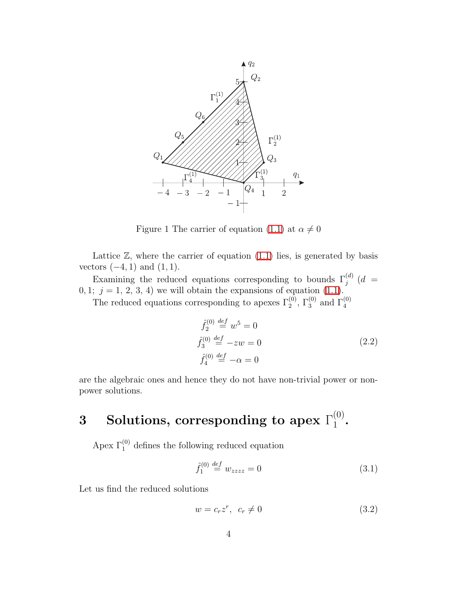

<span id="page-3-0"></span>Figure 1 The carrier of equation [\(1.1\)](#page-0-0) at  $\alpha \neq 0$ 

Lattice  $\mathbb{Z}$ , where the carrier of equation  $(1.1)$  lies, is generated by basis vectors  $(-4, 1)$  and  $(1, 1)$ .

Examining the reduced equations corresponding to bounds  $\Gamma_j^{(d)}$  (*d* =  $0, 1; j = 1, 2, 3, 4$  we will obtain the expansions of equation  $(1.1)$ .

The reduced equations corresponding to apexes  $\Gamma_2^{(0)}$ ,  $\Gamma_3^{(0)}$  and  $\Gamma_4^{(0)}$ 

$$
\hat{f}_2^{(0)} \stackrel{def}{=} w^5 = 0
$$
\n
$$
\hat{f}_3^{(0)} \stackrel{def}{=} -zw = 0
$$
\n
$$
\hat{f}_4^{(0)} \stackrel{def}{=} -\alpha = 0
$$
\n(2.2)

are the algebraic ones and hence they do not have non-trivial power or nonpower solutions.

#### $3$  Solutions, corresponding to apex  $\Gamma^{(0)}_1$  $\frac{(0)}{1}$ .

Apex  $\Gamma_1^{(0)}$  defines the following reduced equation

<span id="page-3-2"></span><span id="page-3-1"></span>
$$
\hat{f}_1^{(0)} \stackrel{def}{=} w_{zzzz} = 0 \tag{3.1}
$$

Let us find the reduced solutions

$$
w = c_r z^r, \ \ c_r \neq 0 \tag{3.2}
$$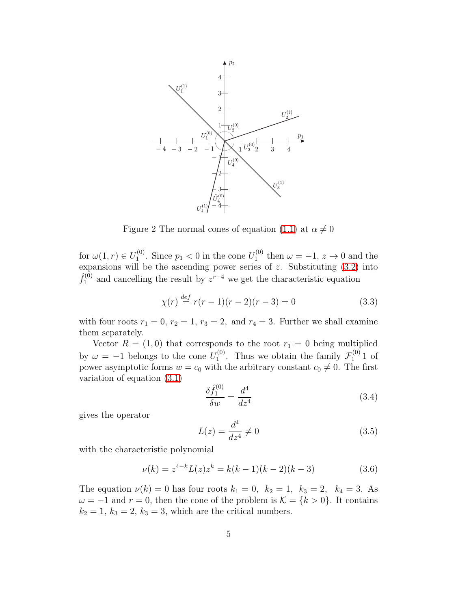

<span id="page-4-0"></span>Figure 2 The normal cones of equation [\(1.1\)](#page-0-0) at  $\alpha \neq 0$ 

for  $\omega(1,r) \in U_1^{(0)}$ <sup>(0)</sup>. Since  $p_1 < 0$  in the cone  $U_1^{(0)}$  $t_1^{(0)}$  then  $\omega = -1, z \to 0$  and the expansions will be the ascending power series of  $z$ . Substituting  $(3.2)$  into  $\hat{f}^{(0)}_1$  $\mathcal{L}_1^{(0)}$  and cancelling the result by  $z^{r-4}$  we get the characteristic equation

$$
\chi(r) \stackrel{\text{def}}{=} r(r-1)(r-2)(r-3) = 0 \tag{3.3}
$$

with four roots  $r_1 = 0$ ,  $r_2 = 1$ ,  $r_3 = 2$ , and  $r_4 = 3$ . Further we shall examine them separately.

Vector  $R = (1,0)$  that corresponds to the root  $r_1 = 0$  being multiplied by  $\omega = -1$  belongs to the cone  $U_1^{(0)}$  $T_1^{(0)}$ . Thus we obtain the family  $\mathcal{F}_1^{(0)}$  $\int_1^{(0)} 1$  of power asymptotic forms  $w = c_0$  with the arbitrary constant  $c_0 \neq 0$ . The first variation of equation [\(3.1\)](#page-3-2)

$$
\frac{\delta \hat{f}_1^{(0)}}{\delta w} = \frac{d^4}{dz^4} \tag{3.4}
$$

gives the operator

$$
L(z) = \frac{d^4}{dz^4} \neq 0
$$
\n
$$
(3.5)
$$

with the characteristic polynomial

$$
\nu(k) = z^{4-k} L(z) z^k = k(k-1)(k-2)(k-3)
$$
\n(3.6)

The equation  $\nu(k) = 0$  has four roots  $k_1 = 0$ ,  $k_2 = 1$ ,  $k_3 = 2$ ,  $k_4 = 3$ . As  $\omega = -1$  and  $r = 0$ , then the cone of the problem is  $\mathcal{K} = \{k > 0\}$ . It contains  $k_2 = 1, k_3 = 2, k_3 = 3$ , which are the critical numbers.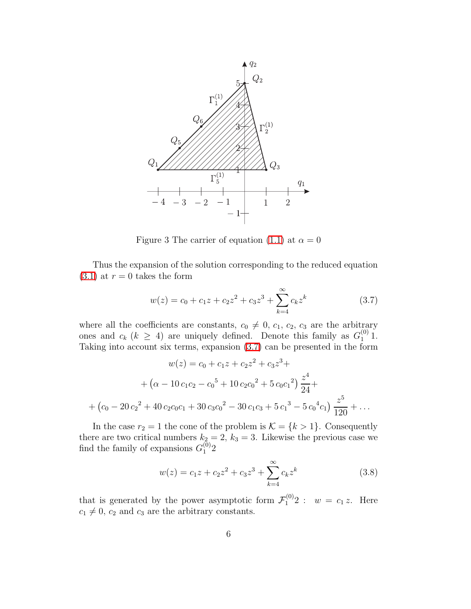

<span id="page-5-1"></span><span id="page-5-0"></span>Figure 3 The carrier of equation [\(1.1\)](#page-0-0) at  $\alpha = 0$ 

Thus the expansion of the solution corresponding to the reduced equation  $(3.1)$  at  $r = 0$  takes the form

$$
w(z) = c_0 + c_1 z + c_2 z^2 + c_3 z^3 + \sum_{k=4}^{\infty} c_k z^k
$$
 (3.7)

where all the coefficients are constants,  $c_0 \neq 0$ ,  $c_1$ ,  $c_2$ ,  $c_3$  are the arbitrary ones and  $c_k$  ( $k \geq 4$ ) are uniquely defined. Denote this family as  $G_1^{(0)}$  1. Taking into account six terms, expansion [\(3.7\)](#page-5-1) can be presented in the form

$$
w(z) = c_0 + c_1 z + c_2 z^2 + c_3 z^3 +
$$
  
+ 
$$
(\alpha - 10 c_1 c_2 - c_0^5 + 10 c_2 c_0^2 + 5 c_0 c_1^2) \frac{z^4}{24} +
$$
  
+ 
$$
(c_0 - 20 c_2^2 + 40 c_2 c_0 c_1 + 30 c_3 c_0^2 - 30 c_1 c_3 + 5 c_1^3 - 5 c_0^4 c_1) \frac{z^5}{120} + \dots
$$

In the case  $r_2 = 1$  the cone of the problem is  $\mathcal{K} = \{k > 1\}$ . Consequently there are two critical numbers  $k_2 = 2$ ,  $k_3 = 3$ . Likewise the previous case we find the family of expansions  $G_1^{(0)}$  $\binom{0}{1}$ 

<span id="page-5-2"></span>
$$
w(z) = c_1 z + c_2 z^2 + c_3 z^3 + \sum_{k=4}^{\infty} c_k z^k
$$
 (3.8)

that is generated by the power asymptotic form  $\mathcal{F}_1^{(0)}2$  :  $w = c_1 z$ . Here  $c_1 \neq 0$ ,  $c_2$  and  $c_3$  are the arbitrary constants.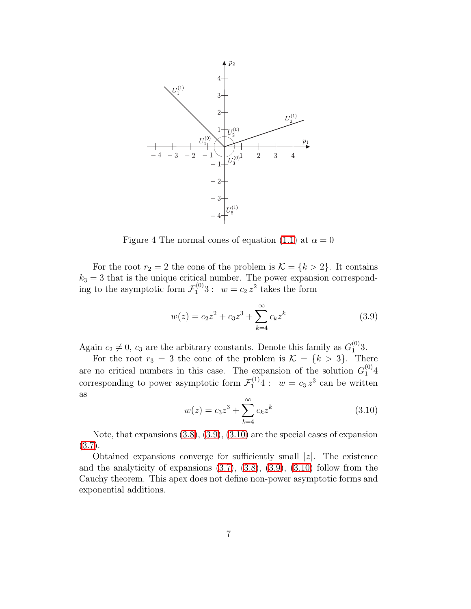

<span id="page-6-0"></span>Figure 4 The normal cones of equation [\(1.1\)](#page-0-0) at  $\alpha = 0$ 

For the root  $r_2 = 2$  the cone of the problem is  $\mathcal{K} = \{k > 2\}$ . It contains  $k_3 = 3$  that is the unique critical number. The power expansion corresponding to the asymptotic form  $\mathcal{F}_1^{(0)}3$ :  $w = c_2 z^2$  takes the form

<span id="page-6-1"></span>
$$
w(z) = c_2 z^2 + c_3 z^3 + \sum_{k=4}^{\infty} c_k z^k
$$
 (3.9)

Again  $c_2 \neq 0$ ,  $c_3$  are the arbitrary constants. Denote this family as  $G_1^{(0)}$  $^{(0)}_1$ 3.

<span id="page-6-2"></span>For the root  $r_3 = 3$  the cone of the problem is  $\mathcal{K} = \{k > 3\}$ . There are no critical numbers in this case. The expansion of the solution  $G_1^{(0)}4$ corresponding to power asymptotic form  $\mathcal{F}_1^{(1)}4: w = c_3 z^3$  can be written as

$$
w(z) = c_3 z^3 + \sum_{k=4}^{\infty} c_k z^k
$$
 (3.10)

Note, that expansions [\(3.8\)](#page-5-2), [\(3.9\)](#page-6-1), [\(3.10\)](#page-6-2) are the special cases of expansion [\(3.7\)](#page-5-1).

Obtained expansions converge for sufficiently small  $|z|$ . The existence and the analyticity of expansions  $(3.7), (3.8), (3.9), (3.10)$  $(3.7), (3.8), (3.9), (3.10)$  $(3.7), (3.8), (3.9), (3.10)$  $(3.7), (3.8), (3.9), (3.10)$  $(3.7), (3.8), (3.9), (3.10)$  $(3.7), (3.8), (3.9), (3.10)$  follow from the Cauchy theorem. This apex does not define non-power asymptotic forms and exponential additions.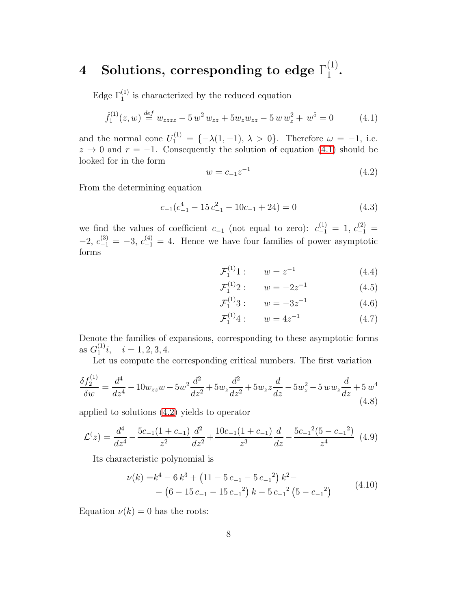#### $4$  Solutions, corresponding to edge  $\Gamma_1^{(1)}$  $\frac{(1)}{1}$ .

Edge  $\Gamma_1^{(1)}$  is characterized by the reduced equation

<span id="page-7-1"></span>
$$
\hat{f}_1^{(1)}(z,w) \stackrel{def}{=} w_{zzzz} - 5 w^2 w_{zz} + 5 w_z w_{zz} - 5 w w_z^2 + w^5 = 0 \tag{4.1}
$$

and the normal cone  $U_1^{(1)} = \{-\lambda(1,-1), \lambda > 0\}$ . Therefore  $\omega = -1$ , i.e.  $z \to 0$  and  $r = -1$ . Consequently the solution of equation [\(4.1\)](#page-7-0) should be looked for in the form

<span id="page-7-0"></span>
$$
w = c_{-1}z^{-1}
$$
\n<sup>(4.2)</sup>

From the determining equation

$$
c_{-1}(c_{-1}^4 - 15 c_{-1}^2 - 10 c_{-1} + 24) = 0 \tag{4.3}
$$

we find the values of coefficient  $c_{-1}$  (not equal to zero):  $c_{-1}^{(1)} = 1, c_{-1}^{(2)} =$  $-2, c_{-1}^{(3)} = -3, c_{-1}^{(4)} = 4.$  Hence we have four families of power asymptotic forms

<span id="page-7-3"></span><span id="page-7-2"></span>
$$
\mathcal{F}_1^{(1)}1: \qquad w = z^{-1} \tag{4.4}
$$

<span id="page-7-4"></span>
$$
\mathcal{F}_1^{(1)}2: \qquad w = -2z^{-1} \tag{4.5}
$$

<span id="page-7-5"></span>
$$
\mathcal{F}_1^{(1)}3: \qquad w = -3z^{-1} \tag{4.6}
$$

$$
\mathcal{F}_1^{(1)}4: \qquad w = 4z^{-1} \tag{4.7}
$$

Denote the families of expansions, corresponding to these asymptotic forms as  $G_1^{(1)}$  $i_j^{(1)}i, \quad i = 1, 2, 3, 4.$ 

Let us compute the corresponding critical numbers. The first variation

$$
\frac{\delta f_2^{(1)}}{\delta w} = \frac{d^4}{dz^4} - 10w_{zz}w - 5w^2 \frac{d^2}{dz^2} + 5w_z \frac{d^2}{dz^2} + 5w_z z \frac{d}{dz} - 5w_z^2 - 5ww_z \frac{d}{dz} + 5w^4
$$
\n(4.8)

applied to solutions [\(4.2\)](#page-7-1) yields to operator

$$
\mathcal{L}(z) = \frac{d^4}{dz^4} - \frac{5c_{-1}(1+c_{-1})}{z^2} \frac{d^2}{dz^2} + \frac{10c_{-1}(1+c_{-1})}{z^3} \frac{d}{dz} - \frac{5c_{-1}^2(5-c_{-1}^2)}{z^4} \tag{4.9}
$$

Its characteristic polynomial is

$$
\nu(k) = k^4 - 6 k^3 + (11 - 5 c_{-1} - 5 c_{-1}^2) k^2 - (6 - 15 c_{-1} - 15 c_{-1}^2) k - 5 c_{-1}^2 (5 - c_{-1}^2)
$$
\n(4.10)

Equation  $\nu(k) = 0$  has the roots: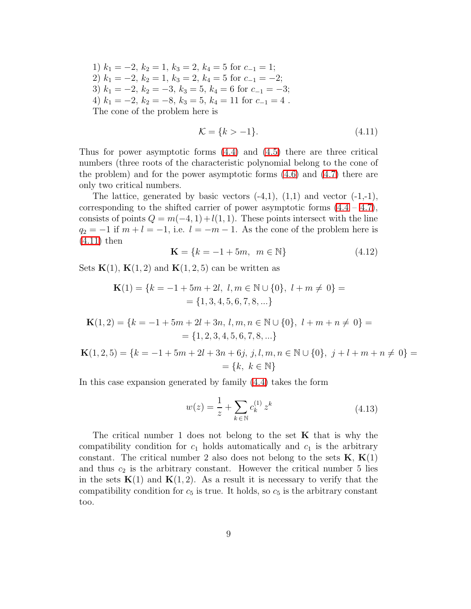1)  $k_1 = -2, k_2 = 1, k_3 = 2, k_4 = 5$  for  $c_{-1} = 1$ ; 2)  $k_1 = -2, k_2 = 1, k_3 = 2, k_4 = 5$  for  $c_{-1} = -2$ ; 3)  $k_1 = -2$ ,  $k_2 = -3$ ,  $k_3 = 5$ ,  $k_4 = 6$  for  $c_{-1} = -3$ ; 4)  $k_1 = -2$ ,  $k_2 = -8$ ,  $k_3 = 5$ ,  $k_4 = 11$  for  $c_{-1} = 4$ . The cone of the problem here is

<span id="page-8-0"></span>
$$
\mathcal{K} = \{k > -1\}.\tag{4.11}
$$

Thus for power asymptotic forms [\(4.4\)](#page-7-2) and [\(4.5\)](#page-7-3) there are three critical numbers (three roots of the characteristic polynomial belong to the cone of the problem) and for the power asymptotic forms [\(4.6\)](#page-7-4) and [\(4.7\)](#page-7-5) there are only two critical numbers.

The lattice, generated by basic vectors  $(-4,1)$ ,  $(1,1)$  and vector  $(-1,-1)$ , corresponding to the shifted carrier of power asymptotic forms  $(4.4 - 4.7)$  $(4.4 - 4.7)$ , consists of points  $Q = m(-4, 1) + l(1, 1)$ . These points intersect with the line  $q_2 = -1$  if  $m + l = -1$ , i.e.  $l = -m - 1$ . As the cone of the problem here is [\(4.11\)](#page-8-0) then

$$
\mathbf{K} = \{k = -1 + 5m, \ m \in \mathbb{N}\}\tag{4.12}
$$

Sets  $K(1)$ ,  $K(1, 2)$  and  $K(1, 2, 5)$  can be written as

$$
\mathbf{K}(1) = \{k = -1 + 5m + 2l, l, m \in \mathbb{N} \cup \{0\}, l + m \neq 0\} =
$$
  
= \{1, 3, 4, 5, 6, 7, 8, ... \}

$$
\mathbf{K}(1,2) = \{k = -1 + 5m + 2l + 3n, l, m, n \in \mathbb{N} \cup \{0\}, l + m + n \neq 0\} = \{1, 2, 3, 4, 5, 6, 7, 8, \ldots\}
$$

$$
\mathbf{K}(1,2,5) = \{k = -1 + 5m + 2l + 3n + 6j, j, l, m, n \in \mathbb{N} \cup \{0\}, j + l + m + n \neq 0\} = \{k, k \in \mathbb{N}\}\
$$

In this case expansion generated by family [\(4.4\)](#page-7-2) takes the form

$$
w(z) = \frac{1}{z} + \sum_{k \in \mathbb{N}} c_k^{(1)} z^k
$$
 (4.13)

The critical number 1 does not belong to the set  $K$  that is why the compatibility condition for  $c_1$  holds automatically and  $c_1$  is the arbitrary constant. The critical number 2 also does not belong to the sets  $K, K(1)$ and thus  $c_2$  is the arbitrary constant. However the critical number 5 lies in the sets  $K(1)$  and  $K(1, 2)$ . As a result it is necessary to verify that the compatibility condition for  $c_5$  is true. It holds, so  $c_5$  is the arbitrary constant too.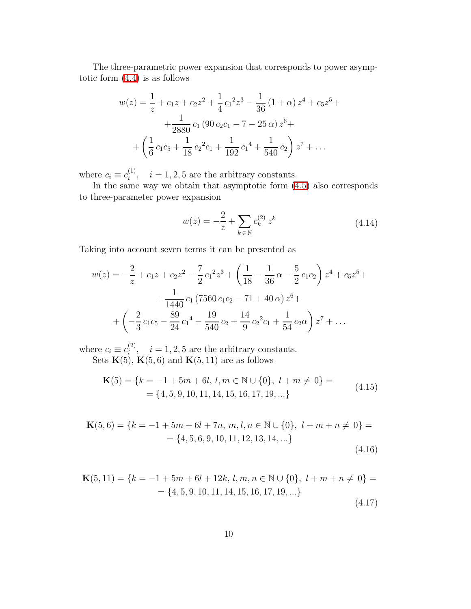The three-parametric power expansion that corresponds to power asymptotic form [\(4.4\)](#page-7-2) is as follows

$$
w(z) = \frac{1}{z} + c_1 z + c_2 z^2 + \frac{1}{4} c_1^2 z^3 - \frac{1}{36} (1 + \alpha) z^4 + c_5 z^5 +
$$
  
+ 
$$
\frac{1}{2880} c_1 (90 c_2 c_1 - 7 - 25 \alpha) z^6 +
$$
  
+ 
$$
\left(\frac{1}{6} c_1 c_5 + \frac{1}{18} c_2^2 c_1 + \frac{1}{192} c_1^4 + \frac{1}{540} c_2\right) z^7 + \dots
$$

where  $c_i \equiv c_i^{(1)}$  $i_i^{(1)}, i = 1, 2, 5$  are the arbitrary constants.

In the same way we obtain that asymptotic form [\(4.5\)](#page-7-3) also corresponds to three-parameter power expansion

$$
w(z) = -\frac{2}{z} + \sum_{k \in \mathbb{N}} c_k^{(2)} z^k
$$
 (4.14)

Taking into account seven terms it can be presented as

$$
w(z) = -\frac{2}{z} + c_1 z + c_2 z^2 - \frac{7}{2} c_1^2 z^3 + \left(\frac{1}{18} - \frac{1}{36} \alpha - \frac{5}{2} c_1 c_2\right) z^4 + c_5 z^5 +
$$
  
+ 
$$
\frac{1}{1440} c_1 (7560 c_1 c_2 - 71 + 40 \alpha) z^6 +
$$
  
+ 
$$
\left(-\frac{2}{3} c_1 c_5 - \frac{89}{24} c_1^4 - \frac{19}{540} c_2 + \frac{14}{9} c_2^2 c_1 + \frac{1}{54} c_2 \alpha\right) z^7 + \dots
$$

where  $c_i \equiv c_i^{(2)}$  $i^{(2)}$ ,  $i = 1, 2, 5$  are the arbitrary constants. Sets  $\mathbf{K}(5)$ ,  $\mathbf{K}(5,6)$  and  $\mathbf{K}(5,11)$  are as follows

$$
\mathbf{K}(5) = \{k = -1 + 5m + 6l, l, m \in \mathbb{N} \cup \{0\}, l + m \neq 0\} =
$$
  
= \{4, 5, 9, 10, 11, 14, 15, 16, 17, 19, ... \} (4.15)

$$
\mathbf{K}(5,6) = \{k = -1 + 5m + 6l + 7n, m, l, n \in \mathbb{N} \cup \{0\}, l + m + n \neq 0\} =
$$
  
= \{4, 5, 6, 9, 10, 11, 12, 13, 14, ... \}\n(4.16)

$$
\mathbf{K}(5,11) = \{k = -1 + 5m + 6l + 12k, l, m, n \in \mathbb{N} \cup \{0\}, l + m + n \neq 0\} =
$$
  
= \{4, 5, 9, 10, 11, 14, 15, 16, 17, 19, ... \} (4.17)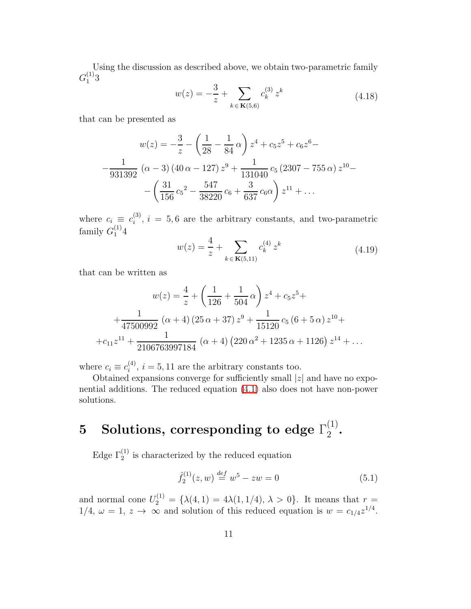Using the discussion as described above, we obtain two-parametric family  $G_1^{(1)}$  $\binom{1}{1}$ 3

$$
w(z) = -\frac{3}{z} + \sum_{k \in \mathbf{K}(5,6)} c_k^{(3)} z^k
$$
 (4.18)

that can be presented as

$$
w(z) = -\frac{3}{z} - \left(\frac{1}{28} - \frac{1}{84}\alpha\right)z^4 + c_5z^5 + c_6z^6 -
$$

$$
-\frac{1}{931392}\left(\alpha - 3\right)\left(40\alpha - 127\right)z^9 + \frac{1}{131040}c_5\left(2307 - 755\alpha\right)z^{10} -
$$

$$
-\left(\frac{31}{156}c_5^2 - \frac{547}{38220}c_6 + \frac{3}{637}c_6\alpha\right)z^{11} + \dots
$$

where  $c_i \equiv c_i^{(3)}$  $i_j^{(5)}$ ,  $i = 5, 6$  are the arbitrary constants, and two-parametric family  $G_1^{(1)}4$ 

$$
w(z) = \frac{4}{z} + \sum_{k \in \mathbf{K}(5,11)} c_k^{(4)} z^k
$$
 (4.19)

that can be written as

$$
w(z) = \frac{4}{z} + \left(\frac{1}{126} + \frac{1}{504} \alpha\right) z^4 + c_5 z^5 +
$$
  
+ 
$$
\frac{1}{47500992} (\alpha + 4) (25 \alpha + 37) z^9 + \frac{1}{15120} c_5 (6 + 5 \alpha) z^{10} +
$$
  
+ 
$$
c_{11} z^{11} + \frac{1}{2106763997184} (\alpha + 4) (220 \alpha^2 + 1235 \alpha + 1126) z^{14} + \dots
$$

where  $c_i \equiv c_i^{(4)}$  $i_i^{(4)}$ ,  $i = 5, 11$  are the arbitrary constants too.

Obtained expansions converge for sufficiently small  $|z|$  and have no exponential additions. The reduced equation [\(4.1\)](#page-7-0) also does not have non-power solutions.

#### $5$  Solutions, corresponding to edge  $\Gamma_2^{(1)}$  $\frac{(1)}{2}$ .

Edge  $\Gamma_2^{(1)}$  is characterized by the reduced equation

<span id="page-10-0"></span>
$$
\hat{f}_2^{(1)}(z,w) \stackrel{def}{=} w^5 - zw = 0 \tag{5.1}
$$

and normal cone  $U_2^{(1)} = {\lambda(4, 1) = 4\lambda(1, 1/4), \lambda > 0}.$  It means that  $r =$  $1/4, \omega = 1, z \rightarrow \infty$  and solution of this reduced equation is  $w = c_{1/4}z^{1/4}$ .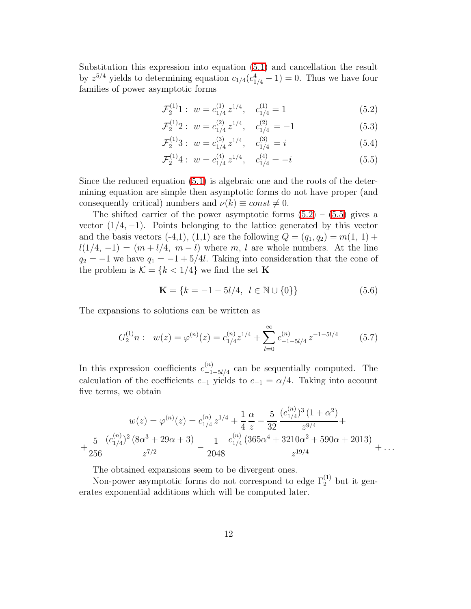Substitution this expression into equation [\(5.1\)](#page-10-0) and cancellation the result by  $z^{5/4}$  yields to determining equation  $c_{1/4}(c_{1/4}^4 - 1) = 0$ . Thus we have four families of power asymptotic forms

<span id="page-11-0"></span>
$$
\mathcal{F}_2^{(1)}1: \ w = c_{1/4}^{(1)} z^{1/4}, \quad c_{1/4}^{(1)} = 1 \tag{5.2}
$$

$$
\mathcal{F}_2^{(1)}2: \ w = c_{1/4}^{(2)} z^{1/4}, \quad c_{1/4}^{(2)} = -1 \tag{5.3}
$$

<span id="page-11-1"></span>
$$
\mathcal{F}_2^{(1)}3: w = c_{1/4}^{(3)} z^{1/4}, c_{1/4}^{(3)} = i \tag{5.4}
$$

$$
\mathcal{F}_2^{(1)}4: \ w = c_{1/4}^{(4)} z^{1/4}, \quad c_{1/4}^{(4)} = -i \tag{5.5}
$$

Since the reduced equation [\(5.1\)](#page-10-0) is algebraic one and the roots of the determining equation are simple then asymptotic forms do not have proper (and consequently critical) numbers and  $\nu(k) \equiv const \neq 0$ .

The shifted carrier of the power asymptotic forms  $(5.2) - (5.5)$  $(5.2) - (5.5)$  gives a vector  $(1/4, -1)$ . Points belonging to the lattice generated by this vector and the basis vectors (-4,1), (1,1) are the following  $Q = (q_1, q_2) = m(1, 1) +$  $l(1/4, -1) = (m + l/4, m - l)$  where m, l are whole numbers. At the line  $q_2 = -1$  we have  $q_1 = -1 + 5/4l$ . Taking into consideration that the cone of the problem is  $\mathcal{K}=\{k<1/4\}$  we find the set  $\mathbf K$ 

<span id="page-11-2"></span>
$$
\mathbf{K} = \{k = -1 - 5l/4, \ l \in \mathbb{N} \cup \{0\}\}\tag{5.6}
$$

The expansions to solutions can be written as

$$
G_2^{(1)}n: w(z) = \varphi^{(n)}(z) = c_{1/4}^{(n)} z^{1/4} + \sum_{l=0}^{\infty} c_{-1-5l/4}^{(n)} z^{-1-5l/4}
$$
 (5.7)

In this expression coefficients  $c_{-1}^{(n)}$  $\frac{N^{(n)}}{n-1-5l/4}$  can be sequentially computed. The calculation of the coefficients  $c_{-1}$  yields to  $c_{-1} = \alpha/4$ . Taking into account five terms, we obtain

$$
w(z) = \varphi^{(n)}(z) = c_{1/4}^{(n)} z^{1/4} + \frac{1}{4} \frac{\alpha}{z} - \frac{5}{32} \frac{(c_{1/4}^{(n)})^3 (1 + \alpha^2)}{z^{9/4}} + + \frac{5}{256} \frac{(c_{1/4}^{(n)})^2 (8\alpha^3 + 29\alpha + 3)}{z^{7/2}} - \frac{1}{2048} \frac{c_{1/4}^{(n)} (365\alpha^4 + 3210\alpha^2 + 590\alpha + 2013)}{z^{19/4}} + \dots
$$

The obtained expansions seem to be divergent ones.

Non-power asymptotic forms do not correspond to edge  $\Gamma_2^{(1)}$  but it generates exponential additions which will be computed later.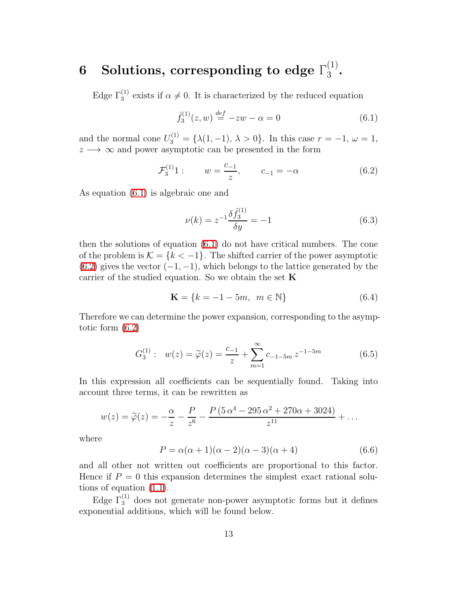#### $6$  Solutions, corresponding to edge  $\Gamma_3^{(1)}$  $rac{(1)}{3}$ .

Edge  $\Gamma_3^{(1)}$  exists if  $\alpha \neq 0$ . It is characterized by the reduced equation

<span id="page-12-1"></span><span id="page-12-0"></span>
$$
\hat{f}_3^{(1)}(z, w) \stackrel{def}{=} -zw - \alpha = 0 \tag{6.1}
$$

and the normal cone  $U_3^{(1)} = {\lambda(1, -1), \lambda > 0}$ . In this case  $r = -1, \omega = 1$ ,  $z \rightarrow \infty$  and power asymptotic can be presented in the form

$$
\mathcal{F}_3^{(1)}1: \qquad w = \frac{c_{-1}}{z}, \qquad c_{-1} = -\alpha \tag{6.2}
$$

As equation [\(6.1\)](#page-12-0) is algebraic one and

$$
\nu(k) = z^{-1} \frac{\delta \hat{f}_3^{(1)}}{\delta y} = -1 \tag{6.3}
$$

then the solutions of equation [\(6.1\)](#page-12-0) do not have critical numbers. The cone of the problem is  $\mathcal{K} = \{k < -1\}$ . The shifted carrier of the power asymptotic  $(6.2)$  gives the vector  $(-1, -1)$ , which belongs to the lattice generated by the carrier of the studied equation. So we obtain the set  $\bf K$ 

$$
\mathbf{K} = \{k = -1 - 5m, \ m \in \mathbb{N}\}\tag{6.4}
$$

<span id="page-12-2"></span>Therefore we can determine the power expansion, corresponding to the asymptotic form [\(6.2\)](#page-12-1)

$$
G_3^{(1)}: w(z) = \tilde{\varphi}(z) = \frac{c_{-1}}{z} + \sum_{m=1}^{\infty} c_{-1-5m} z^{-1-5m}
$$
 (6.5)

In this expression all coefficients can be sequentially found. Taking into account three terms, it can be rewritten as

$$
w(z) = \widetilde{\varphi}(z) = -\frac{\alpha}{z} - \frac{P}{z^6} - \frac{P(5\,\alpha^4 - 295\,\alpha^2 + 270\alpha + 3024)}{z^{11}} + \dots
$$

where

$$
P = \alpha(\alpha + 1)(\alpha - 2)(\alpha - 3)(\alpha + 4)
$$
\n(6.6)

and all other not written out coefficients are proportional to this factor. Hence if  $P = 0$  this expansion determines the simplest exact rational solutions of equation [\(1.1\)](#page-0-0).

Edge  $\Gamma_3^{(1)}$  does not generate non-power asymptotic forms but it defines exponential additions, which will be found below.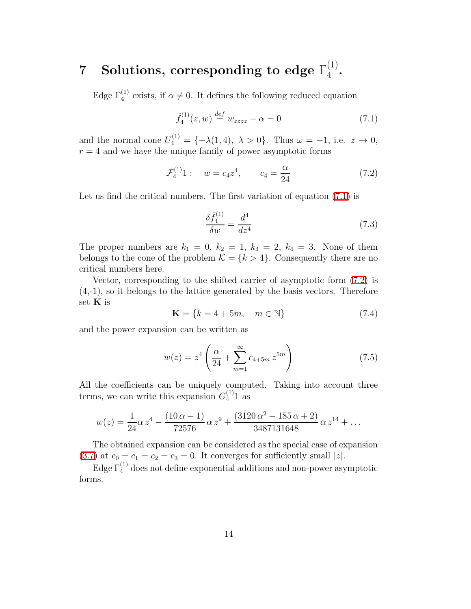#### ${\bf 7}\quad {\bf Solutions},\ {\bf corresponding\ to\ edge}\ \Gamma_4^{(1)}$  $\frac{(1)}{4}$ .

Edge  $\Gamma_4^{(1)}$  exists, if  $\alpha \neq 0$ . It defines the following reduced equation

<span id="page-13-1"></span><span id="page-13-0"></span>
$$
\hat{f}_4^{(1)}(z, w) \stackrel{def}{=} w_{zzzz} - \alpha = 0 \tag{7.1}
$$

and the normal cone  $U_4^{(1)} = \{-\lambda(1,4), \lambda > 0\}$ . Thus  $\omega = -1$ , i.e.  $z \to 0$ ,  $r = 4$  and we have the unique family of power asymptotic forms

$$
\mathcal{F}_4^{(1)}1: \quad w = c_4 z^4, \qquad c_4 = \frac{\alpha}{24} \tag{7.2}
$$

Let us find the critical numbers. The first variation of equation  $(7.1)$  is

$$
\frac{\delta \hat{f}_4^{(1)}}{\delta w} = \frac{d^4}{dz^4} \tag{7.3}
$$

The proper numbers are  $k_1 = 0$ ,  $k_2 = 1$ ,  $k_3 = 2$ ,  $k_4 = 3$ . None of them belongs to the cone of the problem  $\mathcal{K} = \{k > 4\}$ . Consequently there are no critical numbers here.

Vector, corresponding to the shifted carrier of asymptotic form [\(7.2\)](#page-13-1) is (4,-1), so it belongs to the lattice generated by the basis vectors. Therefore set **K** is

$$
\mathbf{K} = \{k = 4 + 5m, \quad m \in \mathbb{N}\}\tag{7.4}
$$

and the power expansion can be written as

$$
w(z) = z^4 \left( \frac{\alpha}{24} + \sum_{m=1}^{\infty} c_{4+5m} z^{5m} \right)
$$
 (7.5)

All the coefficients can be uniquely computed. Taking into account three terms, we can write this expansion  $G_4^{(1)}$  $_4^{(1)}$ 1 as

$$
w(z) = \frac{1}{24}\alpha z^4 - \frac{(10\,\alpha - 1)}{72576}\alpha z^9 + \frac{(3120\,\alpha^2 - 185\,\alpha + 2)}{3487131648}\alpha z^{14} + \dots
$$

The obtained expansion can be considered as the special case of expansion [\(3.7\)](#page-5-1) at  $c_0 = c_1 = c_2 = c_3 = 0$ . It converges for sufficiently small  $|z|$ .

Edge  $\Gamma_4^{(1)}$  does not define exponential additions and non-power asymptotic forms.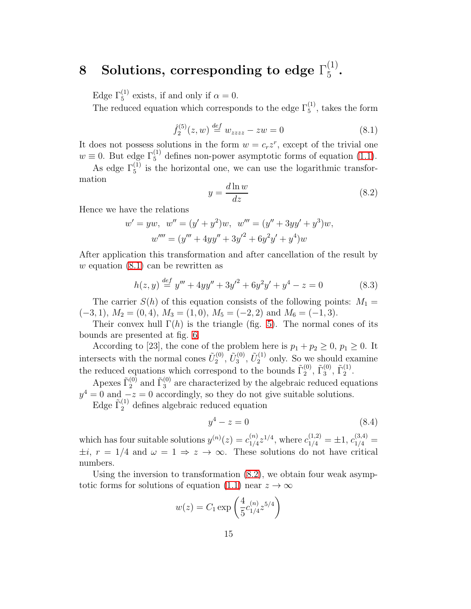#### 8 Solutions, corresponding to edge  $\Gamma_5^{(1)}$  $\binom{1}{5}$

Edge  $\Gamma_5^{(1)}$  exists, if and only if  $\alpha = 0$ .

The reduced equation which corresponds to the edge  $\Gamma_5^{(1)}$ , takes the form

$$
\hat{f}_2^{(5)}(z,w) \stackrel{def}{=} w_{zzzz} - zw = 0 \tag{8.1}
$$

<span id="page-14-0"></span>It does not possess solutions in the form  $w = c_r z^r$ , except of the trivial one  $w \equiv 0$ . But edge  $\Gamma_5^{(1)}$  defines non-power asymptotic forms of equation [\(1.1\)](#page-0-0).

<span id="page-14-1"></span>As edge  $\Gamma_5^{(1)}$  is the horizontal one, we can use the logarithmic transformation

$$
y = \frac{d \ln w}{dz} \tag{8.2}
$$

Hence we have the relations

$$
w' = yw, \quad w'' = (y' + y^2)w, \quad w''' = (y'' + 3yy' + y^3)w,
$$
  

$$
w'''' = (y''' + 4yy'' + 3y'^2 + 6y^2y' + y^4)w
$$

After application this transformation and after cancellation of the result by w equation  $(8.1)$  can be rewritten as

<span id="page-14-2"></span>
$$
h(z, y) \stackrel{\text{def}}{=} y''' + 4yy'' + 3y'^2 + 6y^2y' + y^4 - z = 0 \tag{8.3}
$$

The carrier  $S(h)$  of this equation consists of the following points:  $M_1 =$  $(-3, 1), M_2 = (0, 4), M_3 = (1, 0), M_5 = (-2, 2) \text{ and } M_6 = (-1, 3).$ 

Their convex hull  $\Gamma(h)$  is the triangle (fig. [5\)](#page-15-0). The normal cones of its bounds are presented at fig. [6.](#page-16-0)

According to [23], the cone of the problem here is  $p_1 + p_2 \geq 0$ ,  $p_1 \geq 0$ . It intersects with the normal cones  $\tilde{U}_2^{(0)}$  $\tilde{U}^{(0)}_{3},\,\tilde{U}^{(0)}_{3}$  $\tilde{U}^{(0)}_{2},\,\tilde{U}^{(1)}_{2}$  $2^{(1)}$  only. So we should examine the reduced equations which correspond to the bounds  $\tilde{\Gamma}_2^{(0)}$  $\tilde{\Gamma}_3^{(0)}$ ,  $\tilde{\Gamma}_3^{(0)}$  $\widetilde{\Gamma}_2^{(1)}$  $\frac{(1)}{2}$ .

Apexes  $\tilde{\Gamma}_2^{(0)}$  $_2^{(0)}$  and  $\tilde{\Gamma}_3^{(0)}$  $_3^{(0)}$  are characterized by the algebraic reduced equations  $y^4 = 0$  and  $-z = 0$  accordingly, so they do not give suitable solutions.

Edge  $\tilde{\Gamma}_2^{(1)}$  defines algebraic reduced equation

$$
y^4 - z = 0 \tag{8.4}
$$

which has four suitable solutions  $y^{(n)}(z) = c_{1/4}^{(n)}$  $_{1/4}^{(n)}z^{1/4}$ , where  $c_{1/4}^{(1,2)} = \pm 1$ ,  $c_{1/4}^{(3,4)} =$  $\pm i$ ,  $r = 1/4$  and  $\omega = 1 \Rightarrow z \to \infty$ . These solutions do not have critical numbers.

Using the inversion to transformation [\(8.2\)](#page-14-1), we obtain four weak asymp-totic forms for solutions of equation [\(1.1\)](#page-0-0) near  $z \to \infty$ 

$$
w(z) = C_1 \exp\left(\frac{4}{5}c_{1/4}^{(n)}z^{5/4}\right)
$$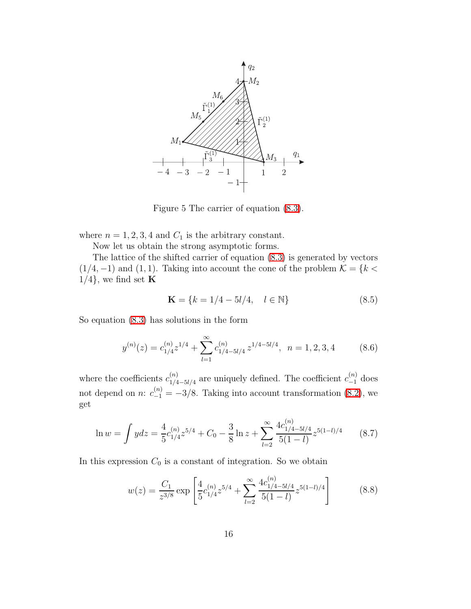

<span id="page-15-0"></span>Figure 5 The carrier of equation [\(8.3\)](#page-14-2).

where  $n = 1, 2, 3, 4$  and  $C_1$  is the arbitrary constant.

Now let us obtain the strong asymptotic forms.

The lattice of the shifted carrier of equation [\(8.3\)](#page-14-2) is generated by vectors  $(1/4, -1)$  and  $(1, 1)$ . Taking into account the cone of the problem  $\mathcal{K} = \{k \leq \mathcal{K}\}$  $1/4$ , we find set **K** 

$$
\mathbf{K} = \{k = 1/4 - 5l/4, \quad l \in \mathbb{N}\}\tag{8.5}
$$

So equation [\(8.3\)](#page-14-2) has solutions in the form

$$
y^{(n)}(z) = c_{1/4}^{(n)} z^{1/4} + \sum_{l=1}^{\infty} c_{1/4-5l/4}^{(n)} z^{1/4-5l/4}, \ \ n = 1, 2, 3, 4 \tag{8.6}
$$

where the coefficients  $c_{1/4}^{(n)}$  $\alpha_{1/4-5l/4}^{(n)}$  are uniquely defined. The coefficient  $c_{-1}^{(n)}$  does not depend on *n*:  $c_{-1}^{(n)} = -3/8$ . Taking into account transformation [\(8.2\)](#page-14-1), we get

$$
\ln w = \int ydz = \frac{4}{5}c_{1/4}^{(n)}z^{5/4} + C_0 - \frac{3}{8}\ln z + \sum_{l=2}^{\infty} \frac{4c_{1/4-5l/4}^{(n)}}{5(1-l)}z^{5(1-l)/4}
$$
(8.7)

In this expression  $C_0$  is a constant of integration. So we obtain

$$
w(z) = \frac{C_1}{z^{3/8}} \exp\left[\frac{4}{5}c_{1/4}^{(n)}z^{5/4} + \sum_{l=2}^{\infty} \frac{4c_{1/4-5l/4}^{(n)}}{5(1-l)}z^{5(1-l)/4}\right]
$$
(8.8)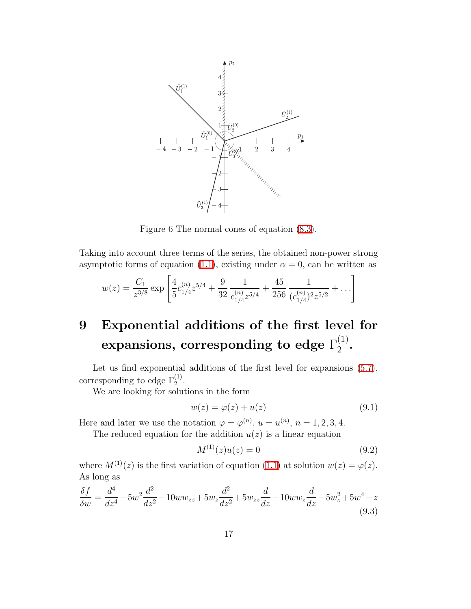

<span id="page-16-0"></span>Figure 6 The normal cones of equation [\(8.3\)](#page-14-2).

Taking into account three terms of the series, the obtained non-power strong asymptotic forms of equation [\(1.1\)](#page-0-0), existing under  $\alpha = 0$ , can be written as

$$
w(z) = \frac{C_1}{z^{3/8}} \exp\left[\frac{4}{5}c_{1/4}^{(n)}z^{5/4} + \frac{9}{32}\frac{1}{c_{1/4}^{(n)}z^{5/4}} + \frac{45}{256}\frac{1}{(c_{1/4}^{(n)})^2z^{5/2}} + \ldots\right]
$$

### 9 Exponential additions of the first level for expansions, corresponding to edge  $\Gamma_2^{(1)}$  $\frac{(1)}{2}$ .

Let us find exponential additions of the first level for expansions  $(5.7)$ , corresponding to edge  $\Gamma_2^{(1)}$ .

We are looking for solutions in the form

$$
w(z) = \varphi(z) + u(z) \tag{9.1}
$$

Here and later we use the notation  $\varphi = \varphi^{(n)}$ ,  $u = u^{(n)}$ ,  $n = 1, 2, 3, 4$ .

The reduced equation for the addition  $u(z)$  is a linear equation

<span id="page-16-1"></span>
$$
M^{(1)}(z)u(z) = 0 \tag{9.2}
$$

where  $M^{(1)}(z)$  is the first variation of equation [\(1.1\)](#page-0-0) at solution  $w(z) = \varphi(z)$ . As long as

$$
\frac{\delta f}{\delta w} = \frac{d^4}{dz^4} - 5w^2 \frac{d^2}{dz^2} - 10ww_{zz} + 5w_z \frac{d^2}{dz^2} + 5w_{zz} \frac{d}{dz} - 10ww_z \frac{d}{dz} - 5w_z^2 + 5w^4 - z \tag{9.3}
$$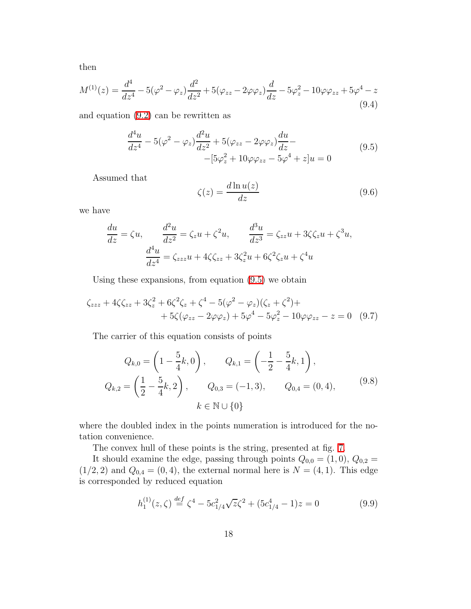then

$$
M^{(1)}(z) = \frac{d^4}{dz^4} - 5(\varphi^2 - \varphi_z)\frac{d^2}{dz^2} + 5(\varphi_{zz} - 2\varphi\varphi_z)\frac{d}{dz} - 5\varphi_z^2 - 10\varphi\varphi_{zz} + 5\varphi^4 - z
$$
\n(9.4)

and equation [\(9.2\)](#page-16-1) can be rewritten as

<span id="page-17-0"></span>
$$
\frac{d^4u}{dz^4} - 5(\varphi^2 - \varphi_z)\frac{d^2u}{dz^2} + 5(\varphi_{zz} - 2\varphi\varphi_z)\frac{du}{dz} - (9.5) - [5\varphi_z^2 + 10\varphi\varphi_{zz} - 5\varphi^4 + z]u = 0
$$
\n(9.5)

<span id="page-17-3"></span>Assumed that

<span id="page-17-1"></span>
$$
\zeta(z) = \frac{d \ln u(z)}{dz} \tag{9.6}
$$

we have

$$
\frac{du}{dz} = \zeta u, \qquad \frac{d^2u}{dz^2} = \zeta_z u + \zeta^2 u, \qquad \frac{d^3u}{dz^3} = \zeta_{zz} u + 3\zeta \zeta_z u + \zeta^3 u,
$$

$$
\frac{d^4u}{dz^4} = \zeta_{zzz} u + 4\zeta \zeta_{zz} + 3\zeta_z^2 u + 6\zeta^2 \zeta_z u + \zeta^4 u
$$

Using these expansions, from equation [\(9.5\)](#page-17-0) we obtain

$$
\zeta_{zzz} + 4\zeta \zeta_{zz} + 3\zeta_z^2 + 6\zeta^2 \zeta_z + \zeta^4 - 5(\varphi^2 - \varphi_z)(\zeta_z + \zeta^2) ++ 5\zeta(\varphi_{zz} - 2\varphi\varphi_z) + 5\varphi^4 - 5\varphi_z^2 - 10\varphi\varphi_{zz} - z = 0
$$
 (9.7)

The carrier of this equation consists of points

$$
Q_{k,0} = \left(1 - \frac{5}{4}k, 0\right), \qquad Q_{k,1} = \left(-\frac{1}{2} - \frac{5}{4}k, 1\right),
$$
  

$$
Q_{k,2} = \left(\frac{1}{2} - \frac{5}{4}k, 2\right), \qquad Q_{0,3} = (-1,3), \qquad Q_{0,4} = (0,4),
$$
  

$$
k \in \mathbb{N} \cup \{0\}
$$
 (9.8)

where the doubled index in the points numeration is introduced for the notation convenience.

The convex hull of these points is the string, presented at fig. [7.](#page-18-0)

It should examine the edge, passing through points  $Q_{0,0} = (1,0), Q_{0,2} =$  $(1/2, 2)$  and  $Q_{0,4} = (0, 4)$ , the external normal here is  $N = (4, 1)$ . This edge is corresponded by reduced equation

<span id="page-17-2"></span>
$$
h_1^{(1)}(z,\zeta) \stackrel{def}{=} \zeta^4 - 5c_{1/4}^2 \sqrt{z} \zeta^2 + (5c_{1/4}^4 - 1)z = 0
$$
 (9.9)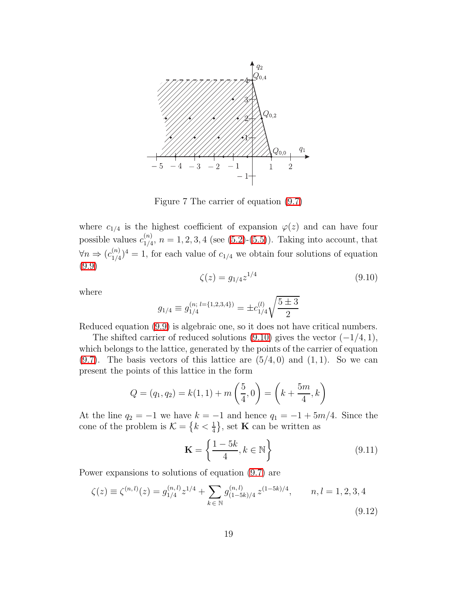

<span id="page-18-0"></span>Figure 7 The carrier of equation [\(9.7\)](#page-17-1)

<span id="page-18-1"></span>where  $c_{1/4}$  is the highest coefficient of expansion  $\varphi(z)$  and can have four possible values  $c_{1/4}^{(n)}$  $_{1/4}^{(n)}$ ,  $n = 1, 2, 3, 4$  (see [\(5.2\)](#page-11-0)-[\(5.5\)](#page-11-1)). Taking into account, that  $\forall n \Rightarrow (c_{1/4}^{(n)})$  $\binom{n}{1/4}$ <sup>4</sup> = 1, for each value of  $c_{1/4}$  we obtain four solutions of equation [\(9.9\)](#page-17-2)

$$
\zeta(z) = g_{1/4} z^{1/4} \tag{9.10}
$$

where

$$
g_{1/4} \equiv g_{1/4}^{(n; l = \{1,2,3,4\})} = \pm c_{1/4}^{(l)} \sqrt{\frac{5 \pm 3}{2}}
$$

Reduced equation [\(9.9\)](#page-17-2) is algebraic one, so it does not have critical numbers.

The shifted carrier of reduced solutions  $(9.10)$  gives the vector  $(-1/4, 1)$ , which belongs to the lattice, generated by the points of the carrier of equation  $(9.7)$ . The basis vectors of this lattice are  $(5/4, 0)$  and  $(1, 1)$ . So we can present the points of this lattice in the form

$$
Q = (q_1, q_2) = k(1, 1) + m\left(\frac{5}{4}, 0\right) = \left(k + \frac{5m}{4}, k\right)
$$

At the line  $q_2 = -1$  we have  $k = -1$  and hence  $q_1 = -1 + 5m/4$ . Since the cone of the problem is  $\mathcal{K} = \left\{k < \frac{1}{4}\right\}$ , set **K** can be written as

<span id="page-18-2"></span>
$$
\mathbf{K} = \left\{ \frac{1 - 5k}{4}, k \in \mathbb{N} \right\}
$$
 (9.11)

Power expansions to solutions of equation [\(9.7\)](#page-17-1) are

$$
\zeta(z) \equiv \zeta^{(n,l)}(z) = g_{1/4}^{(n,l)} z^{1/4} + \sum_{k \in \mathbb{N}} g_{(1-5k)/4}^{(n,l)} z^{(1-5k)/4}, \qquad n, l = 1, 2, 3, 4
$$
\n(9.12)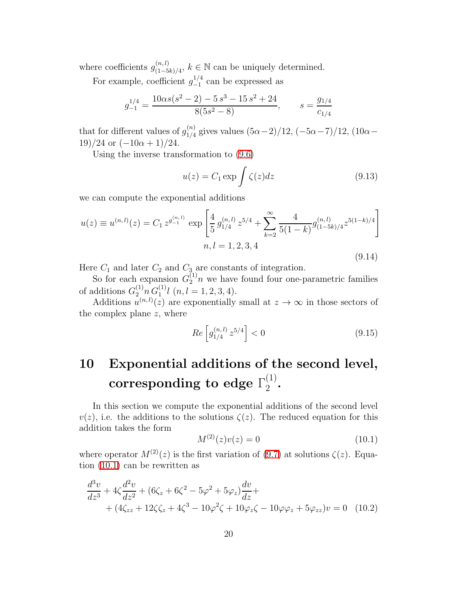where coefficients  $g_{(1-5)}^{(n,l)}$  $(n, l)$ <sub>(1−5k)/4</sub>,  $k \in \mathbb{N}$  can be uniquely determined.

For example, coefficient  $g_{-1}^{1/4}$  $_{-1}^{1/4}$  can be expressed as

$$
g_{-1}^{1/4} = \frac{10\alpha s(s^2 - 2) - 5s^3 - 15s^2 + 24}{8(5s^2 - 8)}, \qquad s = \frac{g_{1/4}}{c_{1/4}}
$$

that for different values of  $g_{1/4}^{(n)}$  $\frac{1}{1/4}$  gives values  $(5α-2)/12, (-5α-7)/12, (10α−$  $19)/24$  or  $(-10\alpha + 1)/24$ .

Using the inverse transformation to [\(9.6\)](#page-17-3)

$$
u(z) = C_1 \exp \int \zeta(z) dz \qquad (9.13)
$$

we can compute the exponential additions

$$
u(z) \equiv u^{(n,l)}(z) = C_1 z^{g_{-1}^{(n,l)}} \exp\left[\frac{4}{5} g_{1/4}^{(n,l)} z^{5/4} + \sum_{k=2}^{\infty} \frac{4}{5(1-k)} g_{(1-5k)/4}^{(n,l)} z^{5(1-k)/4}\right]
$$
  

$$
n, l = 1, 2, 3, 4
$$
 (9.14)

Here  $C_1$  and later  $C_2$  and  $C_3$  are constants of integration.

So for each expansion  $G_2^{(1)}n$  we have found four one-parametric families of additions  $G_2^{(1)} n G_1^{(1)} l$   $(n, l = 1, 2, 3, 4)$ .

Additions  $u^{(n,l)}(z)$  are exponentially small at  $z \to \infty$  in those sectors of the complex plane  $z$ , where

$$
Re\left[g_{1/4}^{(n,l)}z^{5/4}\right] < 0\tag{9.15}
$$

### 10 Exponential additions of the second level,  $\textbf{corresponding to edge } \Gamma_2^{(1)}$  $\frac{(1)}{2}$ .

<span id="page-19-0"></span>In this section we compute the exponential additions of the second level  $v(z)$ , i.e. the additions to the solutions  $\zeta(z)$ . The reduced equation for this addition takes the form

<span id="page-19-1"></span>
$$
M^{(2)}(z)v(z) = 0 \tag{10.1}
$$

where operator  $M^{(2)}(z)$  is the first variation of [\(9.7\)](#page-17-1) at solutions  $\zeta(z)$ . Equation [\(10.1\)](#page-19-0) can be rewritten as

$$
\frac{d^3v}{dz^3} + 4\zeta \frac{d^2v}{dz^2} + (6\zeta_z + 6\zeta^2 - 5\varphi^2 + 5\varphi_z)\frac{dv}{dz} + (4\zeta_{zz} + 12\zeta\zeta_z + 4\zeta^3 - 10\varphi^2\zeta + 10\varphi_z\zeta - 10\varphi\varphi_z + 5\varphi_{zz})v = 0
$$
 (10.2)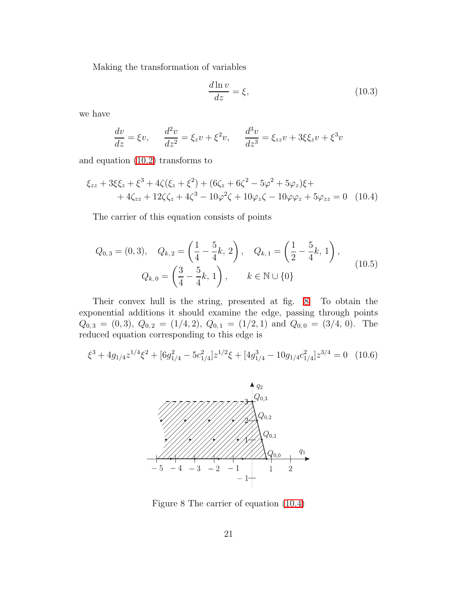Making the transformation of variables

<span id="page-20-1"></span>
$$
\frac{d\ln v}{dz} = \xi,\tag{10.3}
$$

we have

$$
\frac{dv}{dz} = \xi v, \qquad \frac{d^2v}{dz^2} = \xi_z v + \xi^2 v, \qquad \frac{d^3v}{dz^3} = \xi_{zz} v + 3\xi \xi_z v + \xi^3 v
$$

and equation [\(10.2\)](#page-19-1) transforms to

$$
\xi_{zz} + 3\xi\xi_z + \xi^3 + 4\zeta(\xi_z + \xi^2) + (6\zeta_z + 6\zeta^2 - 5\varphi^2 + 5\varphi_z)\xi ++ 4\zeta_{zz} + 12\zeta\zeta_z + 4\zeta^3 - 10\varphi^2\zeta + 10\varphi_z\zeta - 10\varphi\varphi_z + 5\varphi_{zz} = 0
$$
 (10.4)

The carrier of this equation consists of points

$$
Q_{0,3} = (0,3), \quad Q_{k,2} = \left(\frac{1}{4} - \frac{5}{4}k, 2\right), \quad Q_{k,1} = \left(\frac{1}{2} - \frac{5}{4}k, 1\right),
$$

$$
Q_{k,0} = \left(\frac{3}{4} - \frac{5}{4}k, 1\right), \qquad k \in \mathbb{N} \cup \{0\}
$$

$$
(10.5)
$$

Their convex hull is the string, presented at fig. [8.](#page-20-0) To obtain the exponential additions it should examine the edge, passing through points  $Q_{0,3} = (0,3), Q_{0,2} = (1/4,2), Q_{0,1} = (1/2,1) \text{ and } Q_{0,0} = (3/4, 0).$  The reduced equation corresponding to this edge is

$$
\xi^3 + 4g_{1/4}z^{1/4}\xi^2 + [6g_{1/4}^2 - 5c_{1/4}^2]z^{1/2}\xi + [4g_{1/4}^3 - 10g_{1/4}c_{1/4}^2]z^{3/4} = 0 \quad (10.6)
$$

<span id="page-20-2"></span>

<span id="page-20-0"></span>Figure 8 The carrier of equation [\(10.4\)](#page-20-1)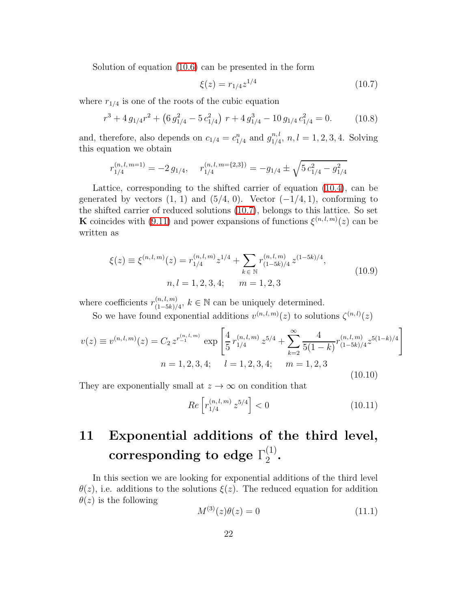Solution of equation [\(10.6\)](#page-20-2) can be presented in the form

<span id="page-21-0"></span>
$$
\xi(z) = r_{1/4} z^{1/4} \tag{10.7}
$$

where  $r_{1/4}$  is one of the roots of the cubic equation

$$
r^{3} + 4 g_{1/4}r^{2} + (6 g_{1/4}^{2} - 5 c_{1/4}^{2}) \ r + 4 g_{1/4}^{3} - 10 g_{1/4} c_{1/4}^{2} = 0.
$$
 (10.8)

and, therefore, also depends on  $c_{1/4} = c_{1/4}^n$  and  $g_{1/4}^{n,l}$  $\frac{n,l}{1/4}$ ,  $n, l = 1, 2, 3, 4$ . Solving this equation we obtain

$$
r_{1/4}^{(n,l,m=1)} = -2 g_{1/4}, \quad r_{1/4}^{(n,l,m=\{2,3\})} = -g_{1/4} \pm \sqrt{5 c_{1/4}^2 - g_{1/4}^2}
$$

Lattice, corresponding to the shifted carrier of equation [\(10.4\)](#page-20-1), can be generated by vectors  $(1, 1)$  and  $(5/4, 0)$ . Vector  $(-1/4, 1)$ , conforming to the shifted carrier of reduced solutions [\(10.7\)](#page-21-0), belongs to this lattice. So set **K** coincides with [\(9.11\)](#page-18-2) and power expansions of functions  $\xi^{(n,l,m)}(z)$  can be written as

$$
\xi(z) \equiv \xi^{(n,l,m)}(z) = r_{1/4}^{(n,l,m)} z^{1/4} + \sum_{k \in \mathbb{N}} r_{(1-5k)/4}^{(n,l,m)} z^{(1-5k)/4},
$$
  
\n
$$
n, l = 1, 2, 3, 4; \qquad m = 1, 2, 3
$$
\n(10.9)

where coefficients  $r_{(1-5k)}^{(n,l,m)}$  $(n, l, m)$ <sub>(1−5k)/4</sub>,  $k \in \mathbb{N}$  can be uniquely determined.

So we have found exponential additions  $v^{(n,l,m)}(z)$  to solutions  $\zeta^{(n,l)}(z)$ 

$$
v(z) \equiv v^{(n,l,m)}(z) = C_2 z^{r_{-1}^{(n,l,m)}} \exp\left[\frac{4}{5} r_{1/4}^{(n,l,m)} z^{5/4} + \sum_{k=2}^{\infty} \frac{4}{5(1-k)} r_{(1-5k)/4}^{(n,l,m)} z^{5(1-k)/4}\right]
$$
  

$$
n = 1, 2, 3, 4; \quad l = 1, 2, 3, 4; \quad m = 1, 2, 3
$$
 (10.10)

They are exponentially small at  $z \to \infty$  on condition that

$$
Re\left[r_{1/4}^{(n,l,m)}z^{5/4}\right] < 0\tag{10.11}
$$

### 11 Exponential additions of the third level,  $\textbf{corresponding to edge } \Gamma_2^{(1)}$  $\frac{(1)}{2}$ .

<span id="page-21-1"></span>In this section we are looking for exponential additions of the third level  $\theta(z)$ , i.e. additions to the solutions  $\xi(z)$ . The reduced equation for addition  $\theta(z)$  is the following

$$
M^{(3)}(z)\theta(z) = 0 \tag{11.1}
$$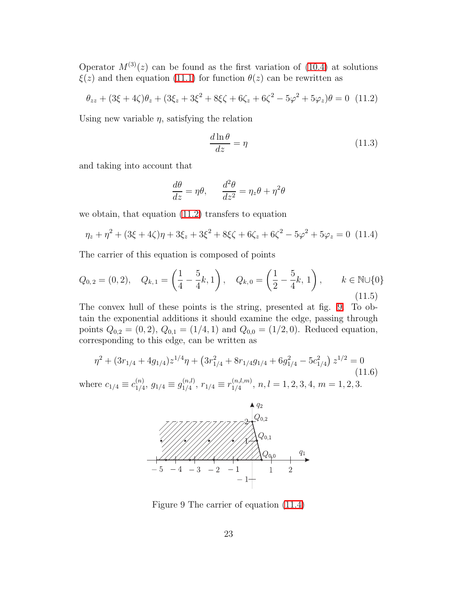Operator  $M^{(3)}(z)$  can be found as the first variation of [\(10.4\)](#page-20-1) at solutions  $\xi(z)$  and then equation [\(11.1\)](#page-21-1) for function  $\theta(z)$  can be rewritten as

$$
\theta_{zz} + (3\xi + 4\zeta)\theta_z + (3\xi_z + 3\xi^2 + 8\xi\zeta + 6\zeta_z + 6\zeta^2 - 5\varphi^2 + 5\varphi_z)\theta = 0
$$
 (11.2)

Using new variable  $\eta$ , satisfying the relation

<span id="page-22-0"></span>
$$
\frac{d\ln\theta}{dz} = \eta \tag{11.3}
$$

and taking into account that

<span id="page-22-2"></span>
$$
\frac{d\theta}{dz} = \eta \theta, \qquad \frac{d^2\theta}{dz^2} = \eta_z \theta + \eta^2 \theta
$$

we obtain, that equation [\(11.2\)](#page-22-0) transfers to equation

$$
\eta_z + \eta^2 + (3\xi + 4\zeta)\eta + 3\xi_z + 3\xi^2 + 8\xi\zeta + 6\zeta_z + 6\zeta^2 - 5\varphi^2 + 5\varphi_z = 0
$$
 (11.4)

The carrier of this equation is composed of points

$$
Q_{0,2} = (0,2), \quad Q_{k,1} = \left(\frac{1}{4} - \frac{5}{4}k, 1\right), \quad Q_{k,0} = \left(\frac{1}{2} - \frac{5}{4}k, 1\right), \qquad k \in \mathbb{N} \cup \{0\}
$$
\n
$$
(11.5)
$$

The convex hull of these points is the string, presented at fig. [9.](#page-22-1) To obtain the exponential additions it should examine the edge, passing through points  $Q_{0,2} = (0, 2), Q_{0,1} = (1/4, 1)$  and  $Q_{0,0} = (1/2, 0)$ . Reduced equation, corresponding to this edge, can be written as

$$
\eta^2 + (3r_{1/4} + 4g_{1/4})z^{1/4}\eta + (3r_{1/4}^2 + 8r_{1/4}g_{1/4} + 6g_{1/4}^2 - 5c_{1/4}^2) z^{1/2} = 0
$$
\n(11.6)

where  $c_{1/4} \equiv c_{1/4}^{(n)}$  $\binom{n}{1/4},\,g_{1/4}\equiv g_{1/4}^{(n,l)}$  $\binom{(n,l)}{1/4}, r_{1/4} \equiv r_{1/4}^{(n,l,m)}$  $\binom{(n,i,m)}{1/4}, n, l = 1, 2, 3, 4, m = 1, 2, 3.$ 

<span id="page-22-3"></span>

<span id="page-22-1"></span>Figure 9 The carrier of equation [\(11.4\)](#page-22-2)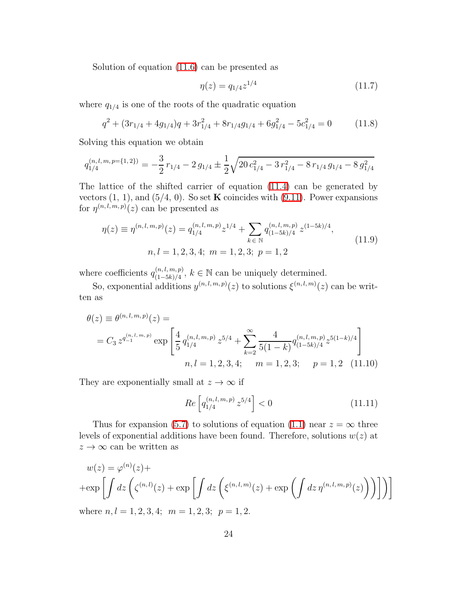Solution of equation [\(11.6\)](#page-22-3) can be presented as

$$
\eta(z) = q_{1/4} z^{1/4} \tag{11.7}
$$

where  $q_{1/4}$  is one of the roots of the quadratic equation

$$
q^{2} + (3r_{1/4} + 4g_{1/4})q + 3r_{1/4}^{2} + 8r_{1/4}g_{1/4} + 6g_{1/4}^{2} - 5c_{1/4}^{2} = 0
$$
 (11.8)

Solving this equation we obtain

$$
q_{1/4}^{(n,l,m,p=\{1,2\})} = -\frac{3}{2}r_{1/4} - 2g_{1/4} \pm \frac{1}{2}\sqrt{20c_{1/4}^2 - 3r_{1/4}^2 - 8r_{1/4}g_{1/4} - 8g_{1/4}^2}
$$

The lattice of the shifted carrier of equation [\(11.4\)](#page-22-2) can be generated by vectors  $(1, 1)$ , and  $(5/4, 0)$ . So set **K** coincides with  $(9.11)$ . Power expansions for  $\eta^{(n,l,m,p)}(z)$  can be presented as

$$
\eta(z) \equiv \eta^{(n,l,m,p)}(z) = q_{1/4}^{(n,l,m,p)} z^{1/4} + \sum_{k \in \mathbb{N}} q_{(1-5k)/4}^{(n,l,m,p)} z^{(1-5k)/4},
$$
  
\n
$$
n, l = 1, 2, 3, 4; \ m = 1, 2, 3; \ p = 1, 2
$$
\n(11.9)

where coefficients  $q_{(1-5k)/4}^{(n,l,m,p)}$  $\binom{(n, l, m, p)}{(1-5k)/4}$ ,  $k \in \mathbb{N}$  can be uniquely determined.

So, exponential additions  $y^{(n,l,m,p)}(z)$  to solutions  $\xi^{(n,l,m)}(z)$  can be written as

$$
\theta(z) \equiv \theta^{(n,l,m,p)}(z) =
$$
\n
$$
= C_3 z^{q_{-1}^{(n,l,m,p)}} \exp\left[\frac{4}{5} q_{1/4}^{(n,l,m,p)} z^{5/4} + \sum_{k=2}^{\infty} \frac{4}{5(1-k)} q_{(1-5k)/4}^{(n,l,m,p)} z^{5(1-k)/4}\right]
$$
\n
$$
n, l = 1, 2, 3, 4; \quad m = 1, 2, 3; \quad p = 1, 2 \quad (11.10)
$$

They are exponentially small at  $z \to \infty$  if

$$
Re\left[q_{1/4}^{(n,l,m,p)}z^{5/4}\right] < 0\tag{11.11}
$$

Thus for expansion [\(5.7\)](#page-11-2) to solutions of equation [\(1.1\)](#page-0-0) near  $z = \infty$  three levels of exponential additions have been found. Therefore, solutions  $w(z)$  at  $z \to \infty$  can be written as

$$
w(z) = \varphi^{(n)}(z) +
$$
  
+ 
$$
\exp\left[\int dz \left(\zeta^{(n,l)}(z) + \exp\left[\int dz \left(\xi^{(n,l,m)}(z) + \exp\left(\int dz \eta^{(n,l,m,p)}(z)\right)\right)\right]\right)\right]
$$
  
where  $n, l = 1, 2, 3, 4$ :  $m = 1, 2, 3$ :  $n = 1, 2$ 

where  $n, l = 1, 2, 3, 4;$   $m = 1, 2, 3;$   $p = 1, 2.$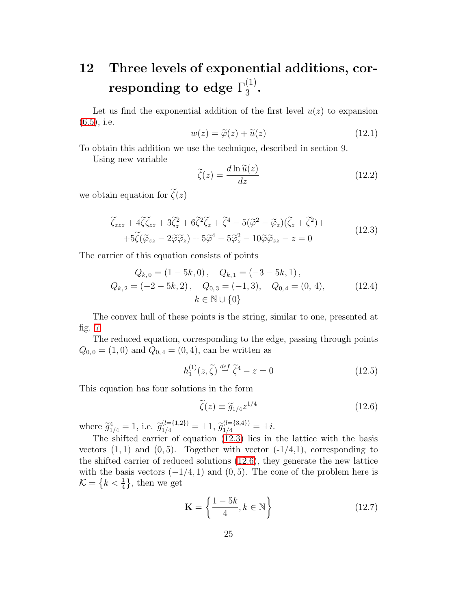### 12 Three levels of exponential additions, cor- $\mathbf{responding\ to\ edge\ } \Gamma_3^{(1)}$  $rac{1}{3}$ .

Let us find the exponential addition of the first level  $u(z)$  to expansion  $(6.5)$ , i.e.

$$
w(z) = \tilde{\varphi}(z) + \tilde{u}(z)
$$
\n(12.1)

To obtain this addition we use the technique, described in section 9.

Using new variable

$$
\widetilde{\zeta}(z) = \frac{d \ln \widetilde{u}(z)}{dz} \tag{12.2}
$$

<span id="page-24-0"></span>we obtain equation for  $\tilde{\zeta}(z)$ 

$$
\widetilde{\zeta}_{zzz} + 4\widetilde{\zeta}\widetilde{\zeta}_{zz} + 3\widetilde{\zeta}_z^2 + 6\widetilde{\zeta}^2\widetilde{\zeta}_z + \widetilde{\zeta}^4 - 5(\widetilde{\varphi}^2 - \widetilde{\varphi}_z)(\widetilde{\zeta}_z + \widetilde{\zeta}^2) ++ 5\widetilde{\zeta}(\widetilde{\varphi}_{zz} - 2\widetilde{\varphi}\widetilde{\varphi}_z) + 5\widetilde{\varphi}^4 - 5\widetilde{\varphi}_z^2 - 10\widetilde{\varphi}\widetilde{\varphi}_{zz} - z = 0
$$
\n(12.3)

The carrier of this equation consists of points

$$
Q_{k,0} = (1 - 5k, 0), \quad Q_{k,1} = (-3 - 5k, 1),
$$
  
\n
$$
Q_{k,2} = (-2 - 5k, 2), \quad Q_{0,3} = (-1, 3), \quad Q_{0,4} = (0, 4),
$$
  
\n
$$
k \in \mathbb{N} \cup \{0\}
$$
\n(12.4)

The convex hull of these points is the string, similar to one, presented at fig. [7.](#page-18-0)

The reduced equation, corresponding to the edge, passing through points  $Q_{0,0} = (1,0)$  and  $Q_{0,4} = (0,4)$ , can be written as

<span id="page-24-1"></span>
$$
h_1^{(1)}(z,\tilde{\zeta}) \stackrel{def}{=} \tilde{\zeta}^4 - z = 0 \tag{12.5}
$$

This equation has four solutions in the form

$$
\widetilde{\zeta}(z) \equiv \widetilde{g}_{1/4} z^{1/4} \tag{12.6}
$$

where  $\widetilde{g}_{1/4}^4 = 1$ , i.e.  $\widetilde{g}_{1/4}^{(l= \{1,2\})} = \pm 1$ ,  $\widetilde{g}_{1/4}^{(l= \{3,4\})} = \pm i$ .

The shifted carrier of equation [\(12.3\)](#page-24-0) lies in the lattice with the basis vectors  $(1, 1)$  and  $(0, 5)$ . Together with vector  $(-1/4, 1)$ , corresponding to the shifted carrier of reduced solutions [\(12.6\)](#page-24-1), they generate the new lattice with the basis vectors  $(-1/4, 1)$  and  $(0, 5)$ . The cone of the problem here is  $\mathcal{K} = \left\{ k < \frac{1}{4} \right\}$ , then we get

$$
\mathbf{K} = \left\{ \frac{1 - 5k}{4}, k \in \mathbb{N} \right\}
$$
 (12.7)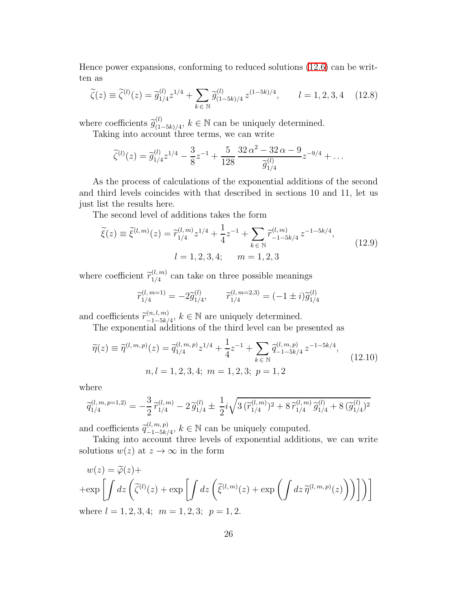Hence power expansions, conforming to reduced solutions [\(12.6\)](#page-24-1) can be written as

$$
\widetilde{\zeta}(z) \equiv \widetilde{\zeta}^{(l)}(z) = \widetilde{g}_{1/4}^{(l)} z^{1/4} + \sum_{k \in \mathbb{N}} \widetilde{g}_{(1-5k)/4}^{(l)} z^{(1-5k)/4}, \qquad l = 1, 2, 3, 4 \quad (12.8)
$$

where coefficients  $\widetilde{g}_{(1)}^{(l)}$  $\binom{(l)}{(1-5k)/4}$ ,  $k \in \mathbb{N}$  can be uniquely determined.

Taking into account three terms, we can write

$$
\widetilde{\zeta}^{(l)}(z) = \widetilde{g}_{1/4}^{(l)} z^{1/4} - \frac{3}{8} z^{-1} + \frac{5}{128} \frac{32 \alpha^2 - 32 \alpha - 9}{\widetilde{g}_{1/4}^{(l)}} z^{-9/4} + \dots
$$

As the process of calculations of the exponential additions of the second and third levels coincides with that described in sections 10 and 11, let us just list the results here.

The second level of additions takes the form

$$
\widetilde{\xi}(z) \equiv \widetilde{\xi}^{(l,m)}(z) = \widetilde{r}_{1/4}^{(l,m)} z^{1/4} + \frac{1}{4} z^{-1} + \sum_{k \in \mathbb{N}} \widetilde{r}_{-1-5k/4}^{(l,m)} z^{-1-5k/4},
$$
\n
$$
l = 1, 2, 3, 4; \qquad m = 1, 2, 3
$$
\n(12.9)

where coefficient  $\tilde{r}_{1/4}^{(l,m)}$  $\frac{1}{1/4}$  can take on three possible meanings

$$
\widetilde{r}_{1/4}^{(l, m=1)} = -2\widetilde{g}_{1/4}^{(l)}, \qquad \widetilde{r}_{1/4}^{(l, m=2, 3)} = (-1 \pm i)\widetilde{g}_{1/4}^{(l)}
$$

and coefficients  $\widetilde{r}^{(n,l,m)}_{-1-5k}$  $\binom{(n, l, m)}{-1-5k/4}$ ,  $k \in \mathbb{N}$  are uniquely determined.

The exponential additions of the third level can be presented as

$$
\widetilde{\eta}(z) \equiv \widetilde{\eta}^{(l,m,p)}(z) = \widetilde{q}_{1/4}^{(l,m,p)} z^{1/4} + \frac{1}{4} z^{-1} + \sum_{k \in \mathbb{N}} \widetilde{q}_{-1-5k/4}^{(l,m,p)} z^{-1-5k/4},
$$
\n
$$
n, l = 1, 2, 3, 4; \ m = 1, 2, 3; \ p = 1, 2
$$
\n
$$
(12.10)
$$

where

$$
\widetilde{q}_{1/4}^{(l,m,p=1,2)} = -\frac{3}{2} \widetilde{r}_{1/4}^{(l,m)} - 2 \widetilde{g}_{1/4}^{(l)} \pm \frac{1}{2} i \sqrt{3 (\widetilde{r}_{1/4}^{(l,m)})^2 + 8 \widetilde{r}_{1/4}^{(l,m)} \widetilde{g}_{1/4}^{(l)} + 8 (\widetilde{g}_{1/4}^{(l)})^2}
$$

and coefficients  $\widetilde{q}_{-1-5k}^{(l,m,p)}$  ${}_{-1-5k/4}^{(l,m,p)}$ ,  $k \in \mathbb{N}$  can be uniquely computed.

Taking into account three levels of exponential additions, we can write solutions  $w(z)$  at  $z \to \infty$  in the form

$$
w(z) = \tilde{\varphi}(z) +
$$
  
+exp\left[\int dz \left(\tilde{\zeta}^{(l)}(z) + exp\left[\int dz \left(\tilde{\xi}^{(l,m)}(z) + exp\left(\int dz \tilde{\eta}^{(l,m,p)}(z)\right)\right)\right]\right)\right]  
where  $l = 1, 2, 3, 4$ ;  $m = 1, 2, 3$ ;  $p = 1, 2$ .

where  $l = 1, 2, 3, 4;$   $m = 1, 2, 3;$   $p = 1$ ,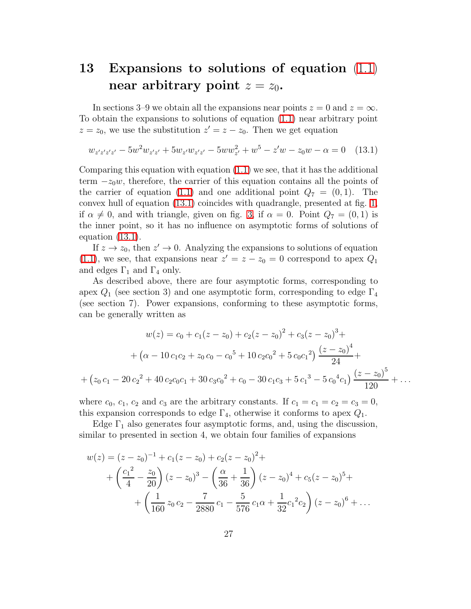# 13 Expansions to solutions of equation [\(1.1\)](#page-0-0) near arbitrary point  $z = z_0$ .

In sections 3–9 we obtain all the expansions near points  $z = 0$  and  $z = \infty$ . To obtain the expansions to solutions of equation [\(1.1\)](#page-0-0) near arbitrary point  $z = z_0$ , we use the substitution  $z' = z - z_0$ . Then we get equation

<span id="page-26-0"></span>
$$
w_{z'z'z'z'} - 5w^2 w_{z'z'} + 5w_{z'}w_{z'z'} - 5ww_{z'}^2 + w^5 - z'w - z_0w - \alpha = 0 \quad (13.1)
$$

Comparing this equation with equation  $(1.1)$  we see, that it has the additional term  $-z_0w$ , therefore, the carrier of this equation contains all the points of the carrier of equation [\(1.1\)](#page-0-0) and one additional point  $Q_7 = (0, 1)$ . The convex hull of equation [\(13.1\)](#page-26-0) coincides with quadrangle, presented at fig. [1,](#page-3-0) if  $\alpha \neq 0$ , and with triangle, given on fig. [3,](#page-5-0) if  $\alpha = 0$ . Point  $Q_7 = (0, 1)$  is the inner point, so it has no influence on asymptotic forms of solutions of equation [\(13.1\)](#page-26-0).

If  $z \to z_0$ , then  $z' \to 0$ . Analyzing the expansions to solutions of equation [\(1.1\)](#page-0-0), we see, that expansions near  $z' = z - z_0 = 0$  correspond to apex  $Q_1$ and edges  $\Gamma_1$  and  $\Gamma_4$  only.

As described above, there are four asymptotic forms, corresponding to apex  $Q_1$  (see section 3) and one asymptotic form, corresponding to edge  $\Gamma_4$ (see section 7). Power expansions, conforming to these asymptotic forms, can be generally written as

$$
w(z) = c_0 + c_1(z - z_0) + c_2(z - z_0)^2 + c_3(z - z_0)^3 +
$$
  
+ 
$$
(\alpha - 10 c_1 c_2 + z_0 c_0 - c_0^5 + 10 c_2 c_0^2 + 5 c_0 c_1^2) \frac{(z - z_0)^4}{24} +
$$
  
+ 
$$
(z_0 c_1 - 20 c_2^2 + 40 c_2 c_0 c_1 + 30 c_3 c_0^2 + c_0 - 30 c_1 c_3 + 5 c_1^3 - 5 c_0^4 c_1) \frac{(z - z_0)^5}{120} + \dots
$$

where  $c_0$ ,  $c_1$ ,  $c_2$  and  $c_3$  are the arbitrary constants. If  $c_1 = c_1 = c_2 = c_3 = 0$ , this expansion corresponds to edge  $\Gamma_4$ , otherwise it conforms to apex  $Q_1$ .

Edge  $\Gamma_1$  also generates four asymptotic forms, and, using the discussion, similar to presented in section 4, we obtain four families of expansions

$$
w(z) = (z - z_0)^{-1} + c_1(z - z_0) + c_2(z - z_0)^2 +
$$
  
+  $\left(\frac{c_1^2}{4} - \frac{z_0}{20}\right)(z - z_0)^3 - \left(\frac{\alpha}{36} + \frac{1}{36}\right)(z - z_0)^4 + c_5(z - z_0)^5 +$   
+  $\left(\frac{1}{160}z_0c_2 - \frac{7}{2880}c_1 - \frac{5}{576}c_1\alpha + \frac{1}{32}c_1^2c_2\right)(z - z_0)^6 + \dots$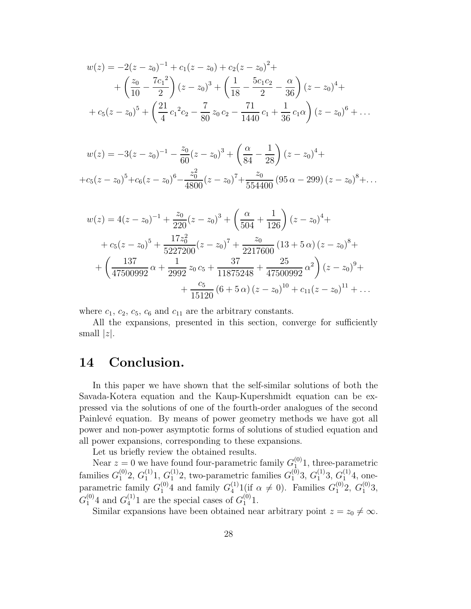$$
w(z) = -2(z - z_0)^{-1} + c_1(z - z_0) + c_2(z - z_0)^2 +
$$
  
+  $\left(\frac{z_0}{10} - \frac{7c_1^2}{2}\right)(z - z_0)^3 + \left(\frac{1}{18} - \frac{5c_1c_2}{2} - \frac{\alpha}{36}\right)(z - z_0)^4 +$   
+  $c_5(z - z_0)^5 + \left(\frac{21}{4}c_1^2c_2 - \frac{7}{80}z_0c_2 - \frac{71}{1440}c_1 + \frac{1}{36}c_1\alpha\right)(z - z_0)^6 + \dots$ 

$$
w(z) = -3(z - z_0)^{-1} - \frac{z_0}{60}(z - z_0)^3 + \left(\frac{\alpha}{84} - \frac{1}{28}\right)(z - z_0)^4 +
$$
  
+
$$
+c_5(z - z_0)^5 + c_6(z - z_0)^6 - \frac{z_0^2}{4800}(z - z_0)^7 + \frac{z_0}{554400}(95 \alpha - 299)(z - z_0)^8 + \dots
$$

$$
w(z) = 4(z - z_0)^{-1} + \frac{z_0}{220}(z - z_0)^3 + \left(\frac{\alpha}{504} + \frac{1}{126}\right)(z - z_0)^4 +
$$
  
+  $c_5(z - z_0)^5 + \frac{17z_0^2}{5227200}(z - z_0)^7 + \frac{z_0}{2217600}(13 + 5\alpha)(z - z_0)^8 +$   
+  $\left(\frac{137}{47500992}\alpha + \frac{1}{2992}z_0c_5 + \frac{37}{11875248} + \frac{25}{47500992}\alpha^2\right)(z - z_0)^9 +$   
+  $\frac{c_5}{15120}(6 + 5\alpha)(z - z_0)^{10} + c_{11}(z - z_0)^{11} + ...$ 

where  $c_1$ ,  $c_2$ ,  $c_5$ ,  $c_6$  and  $c_{11}$  are the arbitrary constants.

All the expansions, presented in this section, converge for sufficiently small  $|z|$ .

# 14 Conclusion.

In this paper we have shown that the self-similar solutions of both the Savada-Kotera equation and the Kaup-Kupershmidt equation can be expressed via the solutions of one of the fourth-order analogues of the second Painlevé equation. By means of power geometry methods we have got all power and non-power asymptotic forms of solutions of studied equation and all power expansions, corresponding to these expansions.

Let us briefly review the obtained results.

Near  $z = 0$  we have found four-parametric family  $G_1^{(0)}$ 1, three-parametric families  $G_1^{(0)}$  $\binom{0}{1}$ 2,  $G_1^{(1)}$  $\binom{1}{1}$ 1,  $\binom{1}{1}$  $I_1^{(1)}$ 2, two-parametric families  $G_1^{(0)}$  $_1^{(0)}3,\,G_1^{(1)}$  $\binom{1}{1}3,\binom{1}{1}$  $1^{(1)}4$ , oneparametric family  $G_1^{(0)}$ 4 and family  $G_4^{(1)}$  1(if  $\alpha \neq 0$ ). Families  $G_1^{(0)}$ 2,  $G_1^{(0)}$ 3,  $G_1^{(0)}$ 4 and  $G_4^{(1)}$ 1 are the special cases of  $G_1^{(0)}$ 1.

Similar expansions have been obtained near arbitrary point  $z = z_0 \neq \infty$ .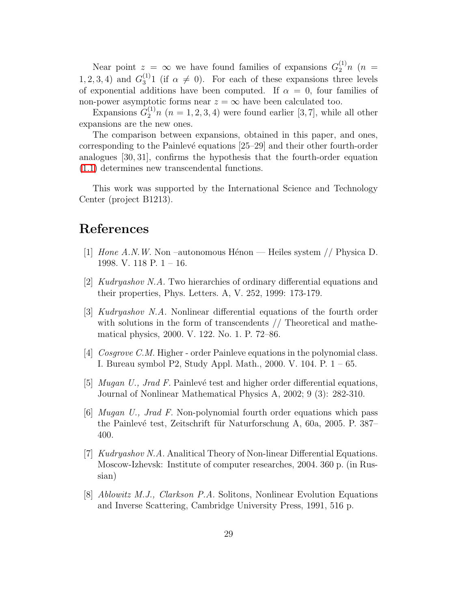Near point  $z = \infty$  we have found families of expansions  $G_2^{(1)}n$  ( $n =$ 1, 2, 3, 4) and  $G_3^{(1)}$  (if  $\alpha \neq 0$ ). For each of these expansions three levels of exponential additions have been computed. If  $\alpha = 0$ , four families of non-power asymptotic forms near  $z = \infty$  have been calculated too.

Expansions  $\tilde{G}_2^{(1)}n$   $(n = 1, 2, 3, 4)$  were found earlier [3,7], while all other expansions are the new ones.

The comparison between expansions, obtained in this paper, and ones, corresponding to the Painlevé equations [25–29] and their other fourth-order analogues [30, 31], confirms the hypothesis that the fourth-order equation [\(1.1\)](#page-0-0) determines new transcendental functions.

This work was supported by the International Science and Technology Center (project B1213).

### References

- [1] Hone A.N.W. Non-autonomous Hénon Heiles system  $//$  Physica D. 1998. V. 118 P. 1 – 16.
- [2] Kudryashov N.A. Two hierarchies of ordinary differential equations and their properties, Phys. Letters. A, V. 252, 1999: 173-179.
- [3] Kudryashov N.A. Nonlinear differential equations of the fourth order with solutions in the form of transcendents // Theoretical and mathematical physics, 2000. V. 122. No. 1. P. 72–86.
- [4] Cosgrove C.M. Higher order Painleve equations in the polynomial class. I. Bureau symbol P2, Study Appl. Math., 2000. V. 104. P. 1 – 65.
- [5]  $Mugan U$ , Jrad F. Painlevé test and higher order differential equations, Journal of Nonlinear Mathematical Physics A, 2002; 9 (3): 282-310.
- [6] Mugan U., Jrad F. Non-polynomial fourth order equations which pass the Painlevé test, Zeitschrift für Naturforschung A, 60a, 2005. P. 387– 400.
- [7] Kudryashov N.A. Analitical Theory of Non-linear Differential Equations. Moscow-Izhevsk: Institute of computer researches, 2004. 360 p. (in Russian)
- [8] Ablowitz M.J., Clarkson P.A. Solitons, Nonlinear Evolution Equations and Inverse Scattering, Cambridge University Press, 1991, 516 p.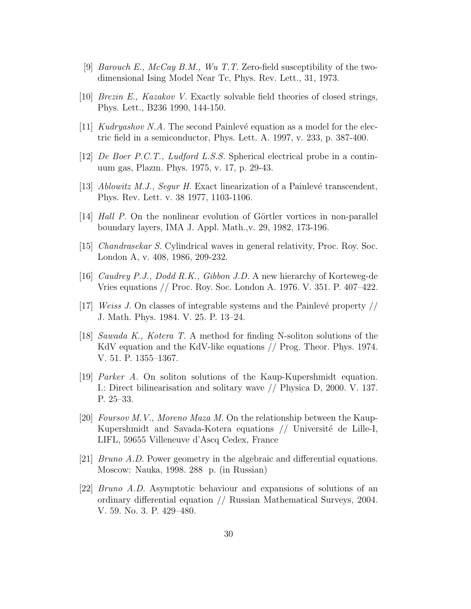- [9] Barouch E.,  $McCay B.M., Wu T.T. Zero-field susceptibility of the two$ dimensional Ising Model Near Tc, Phys. Rev. Lett., 31, 1973.
- [10] Brezin E., Kazakov V. Exactly solvable field theories of closed strings, Phys. Lett., B236 1990, 144-150.
- [11] Kudryashov N.A. The second Painlevé equation as a model for the electric field in a semiconductor, Phys. Lett. A. 1997, v. 233, p. 387-400.
- [12] *De Boer P.C.T., Ludford L.S.S.* Spherical electrical probe in a continuum gas, Plazm. Phys. 1975, v. 17, p. 29-43.
- [13] Ablowitz M.J., Segur H. Exact linearization of a Painlevé transcendent, Phys. Rev. Lett. v. 38 1977, 1103-1106.
- [14] Hall P. On the nonlinear evolution of Görtler vortices in non-parallel boundary layers, IMA J. Appl. Math.,v. 29, 1982, 173-196.
- [15] Chandrasekar S. Cylindrical waves in general relativity, Proc. Roy. Soc. London A, v. 408, 1986, 209-232.
- [16] Caudrey P.J., Dodd R.K., Gibbon J.D. A new hierarchy of Korteweg-de Vries equations // Proc. Roy. Soc. London A. 1976. V. 351. P. 407–422.
- $[17]$  *Weiss J.* On classes of integrable systems and the Painlevé property // J. Math. Phys. 1984. V. 25. P. 13–24.
- [18] Sawada K., Kotera T. A method for finding N-soliton solutions of the KdV equation and the KdV-like equations // Prog. Theor. Phys. 1974. V. 51. P. 1355–1367.
- [19] Parker A. On soliton solutions of the Kaup-Kupershmidt equation. I.: Direct bilinearisation and solitary wave // Physica D, 2000. V. 137. P. 25–33.
- [20] Foursov M.V., Moreno Maza M. On the relationship between the Kaup-Kupershmidt and Savada-Kotera equations  $//$  Université de Lille-I, LIFL, 59655 Villeneuve d'Ascq Cedex, France
- [21] Bruno A.D. Power geometry in the algebraic and differential equations. Moscow: Nauka, 1998. 288 p. (in Russian)
- [22] Bruno A.D. Asymptotic behaviour and expansions of solutions of an ordinary differential equation // Russian Mathematical Surveys, 2004. V. 59. No. 3. P. 429–480.